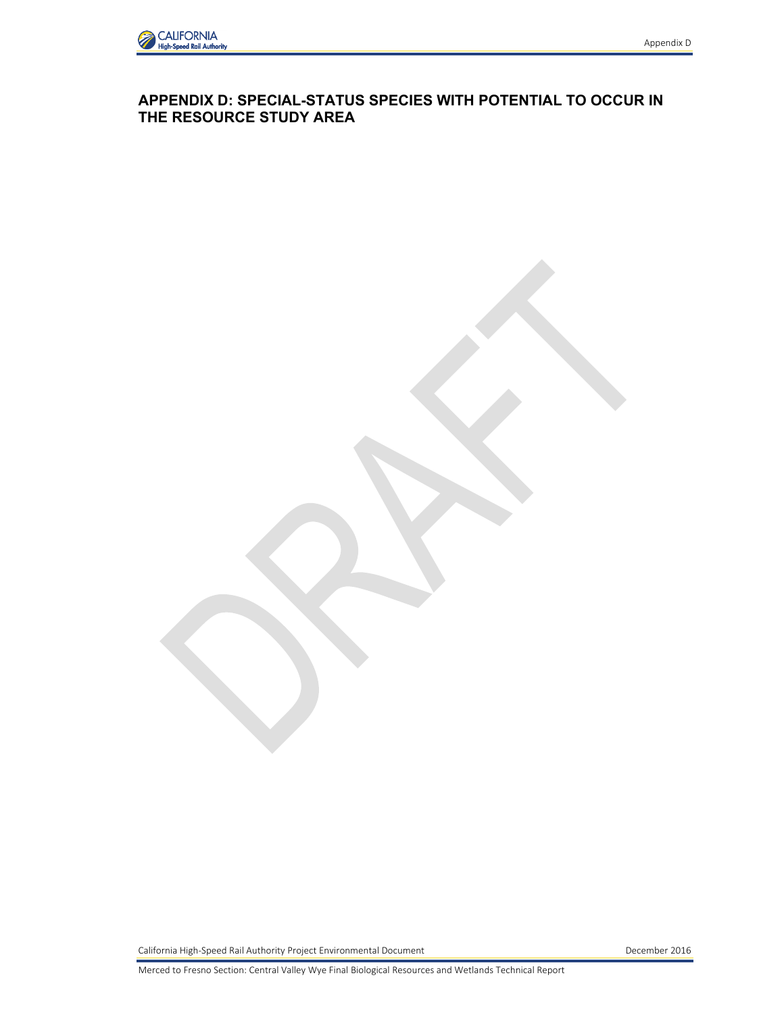

## **APPENDIX D: SPECIAL-STATUS SPECIES WITH POTENTIAL TO OCCUR IN THE RESOURCE STUDY AREA**

California High-Speed Rail Authority Project Environmental Document **December 2016** December 2016

Merced to Fresno Section: Central Valley Wye Final Biological Resources and Wetlands Technical Report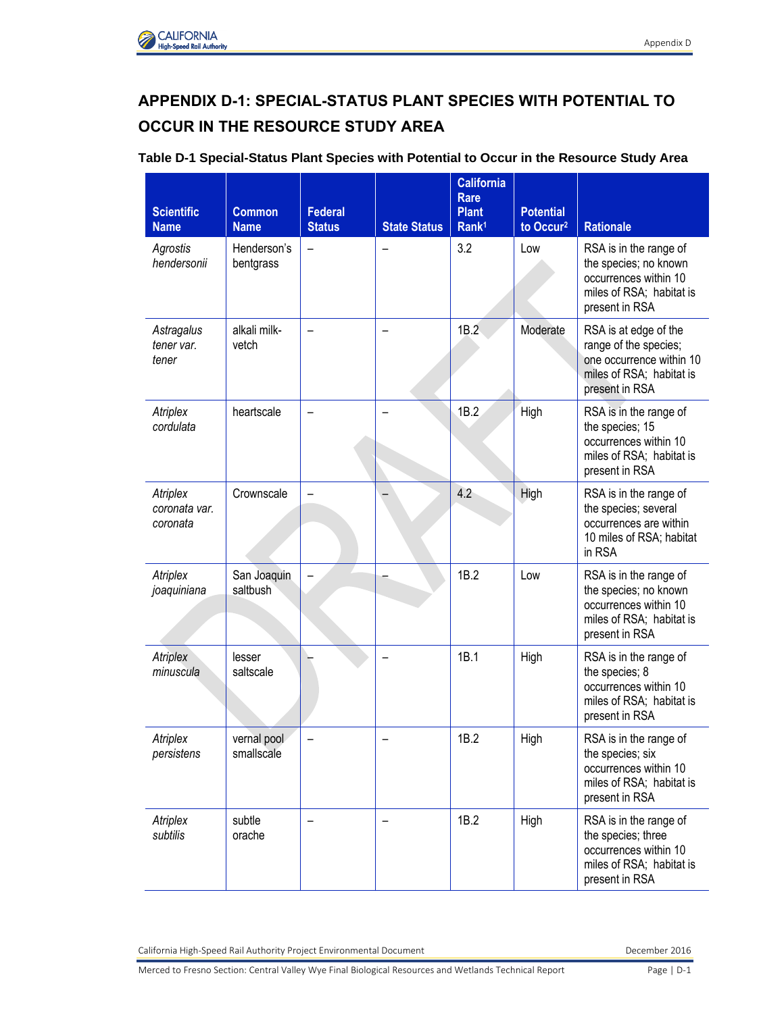## **APPENDIX D-1: SPECIAL-STATUS PLANT SPECIES WITH POTENTIAL TO OCCUR IN THE RESOURCE STUDY AREA**

## **Table D-1 Special-Status Plant Species with Potential to Occur in the Resource Study Area**

| <b>Scientific</b><br><b>Name</b>      | <b>Common</b><br><b>Name</b> | <b>Federal</b><br><b>Status</b> | <b>State Status</b> | <b>California</b><br><b>Rare</b><br><b>Plant</b><br>Rank <sup>1</sup> | <b>Potential</b><br>to Occur <sup>2</sup> | <b>Rationale</b>                                                                                                         |
|---------------------------------------|------------------------------|---------------------------------|---------------------|-----------------------------------------------------------------------|-------------------------------------------|--------------------------------------------------------------------------------------------------------------------------|
| Agrostis<br>hendersonii               | Henderson's<br>bentgrass     | $\overline{\phantom{0}}$        |                     | 3.2                                                                   | Low                                       | RSA is in the range of<br>the species; no known<br>occurrences within 10<br>miles of RSA; habitat is<br>present in RSA   |
| Astragalus<br>tener var.<br>tener     | alkali milk-<br>vetch        |                                 |                     | 1B.2                                                                  | Moderate                                  | RSA is at edge of the<br>range of the species;<br>one occurrence within 10<br>miles of RSA; habitat is<br>present in RSA |
| Atriplex<br>cordulata                 | heartscale                   |                                 |                     | 1B.2                                                                  | High                                      | RSA is in the range of<br>the species; 15<br>occurrences within 10<br>miles of RSA; habitat is<br>present in RSA         |
| Atriplex<br>coronata var.<br>coronata | Crownscale                   |                                 |                     | 4.2                                                                   | High                                      | RSA is in the range of<br>the species; several<br>occurrences are within<br>10 miles of RSA; habitat<br>in RSA           |
| Atriplex<br>joaquiniana               | San Joaquin<br>saltbush      |                                 |                     | 1B.2                                                                  | Low                                       | RSA is in the range of<br>the species; no known<br>occurrences within 10<br>miles of RSA; habitat is<br>present in RSA   |
| Atriplex<br>minuscula                 | lesser<br>saltscale          |                                 |                     | 1B.1                                                                  | High                                      | RSA is in the range of<br>the species; 8<br>occurrences within 10<br>miles of RSA; habitat is<br>present in RSA          |
| Atriplex<br>persistens                | vernal pool<br>smallscale    |                                 |                     | 1B.2                                                                  | High                                      | RSA is in the range of<br>the species; six<br>occurrences within 10<br>miles of RSA; habitat is<br>present in RSA        |
| Atriplex<br>subtilis                  | subtle<br>orache             |                                 |                     | 1B.2                                                                  | High                                      | RSA is in the range of<br>the species; three<br>occurrences within 10<br>miles of RSA; habitat is<br>present in RSA      |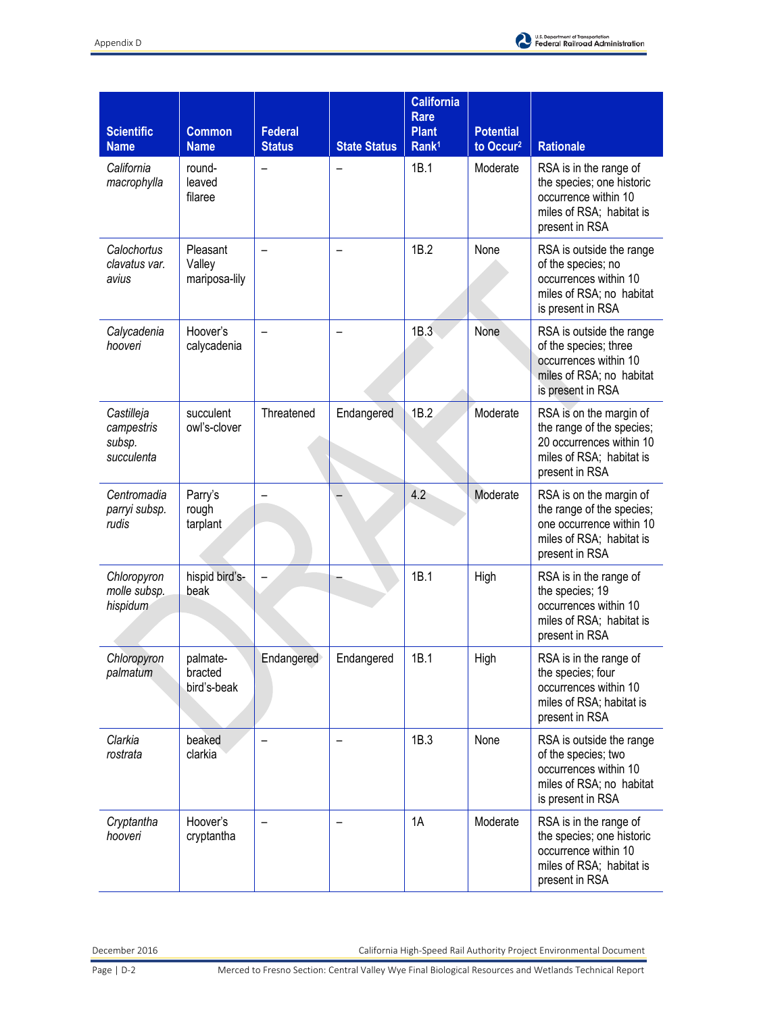

| <b>Scientific</b><br><b>Name</b>                 | <b>Common</b><br><b>Name</b>        | <b>Federal</b><br><b>Status</b> | <b>State Status</b> | <b>California</b><br>Rare<br><b>Plant</b><br>Rank <sup>1</sup> | <b>Potential</b><br>to Occur <sup>2</sup> | <b>Rationale</b>                                                                                                               |
|--------------------------------------------------|-------------------------------------|---------------------------------|---------------------|----------------------------------------------------------------|-------------------------------------------|--------------------------------------------------------------------------------------------------------------------------------|
| California<br>macrophylla                        | round-<br>leaved<br>filaree         |                                 |                     | 1B.1                                                           | Moderate                                  | RSA is in the range of<br>the species; one historic<br>occurrence within 10<br>miles of RSA; habitat is<br>present in RSA      |
| Calochortus<br>clavatus var.<br>avius            | Pleasant<br>Valley<br>mariposa-lily |                                 |                     | 1B.2                                                           | None                                      | RSA is outside the range<br>of the species; no<br>occurrences within 10<br>miles of RSA; no habitat<br>is present in RSA       |
| Calycadenia<br>hooveri                           | Hoover's<br>calycadenia             |                                 |                     | 1B.3                                                           | None                                      | RSA is outside the range<br>of the species; three<br>occurrences within 10<br>miles of RSA; no habitat<br>is present in RSA    |
| Castilleja<br>campestris<br>subsp.<br>succulenta | succulent<br>owl's-clover           | Threatened                      | Endangered          | 1B.2                                                           | Moderate                                  | RSA is on the margin of<br>the range of the species;<br>20 occurrences within 10<br>miles of RSA; habitat is<br>present in RSA |
| Centromadia<br>parryi subsp.<br>rudis            | Parry's<br>rough<br>tarplant        |                                 |                     | 4.2                                                            | Moderate                                  | RSA is on the margin of<br>the range of the species;<br>one occurrence within 10<br>miles of RSA; habitat is<br>present in RSA |
| Chloropyron<br>molle subsp.<br>hispidum          | hispid bird's-<br>beak              |                                 |                     | 1B.1                                                           | High                                      | RSA is in the range of<br>the species; 19<br>occurrences within 10<br>miles of RSA; habitat is<br>present in RSA               |
| Chloropyron<br>palmatum                          | palmate-<br>bracted<br>bird's-beak  | Endangered                      | Endangered          | 1B.1                                                           | High                                      | RSA is in the range of<br>the species; four<br>occurrences within 10<br>miles of RSA; habitat is<br>present in RSA             |
| Clarkia<br>rostrata                              | beaked<br>clarkia                   |                                 |                     | 1B.3                                                           | None                                      | RSA is outside the range<br>of the species; two<br>occurrences within 10<br>miles of RSA; no habitat<br>is present in RSA      |
| Cryptantha<br>hooveri                            | Hoover's<br>cryptantha              |                                 |                     | 1A                                                             | Moderate                                  | RSA is in the range of<br>the species; one historic<br>occurrence within 10<br>miles of RSA; habitat is<br>present in RSA      |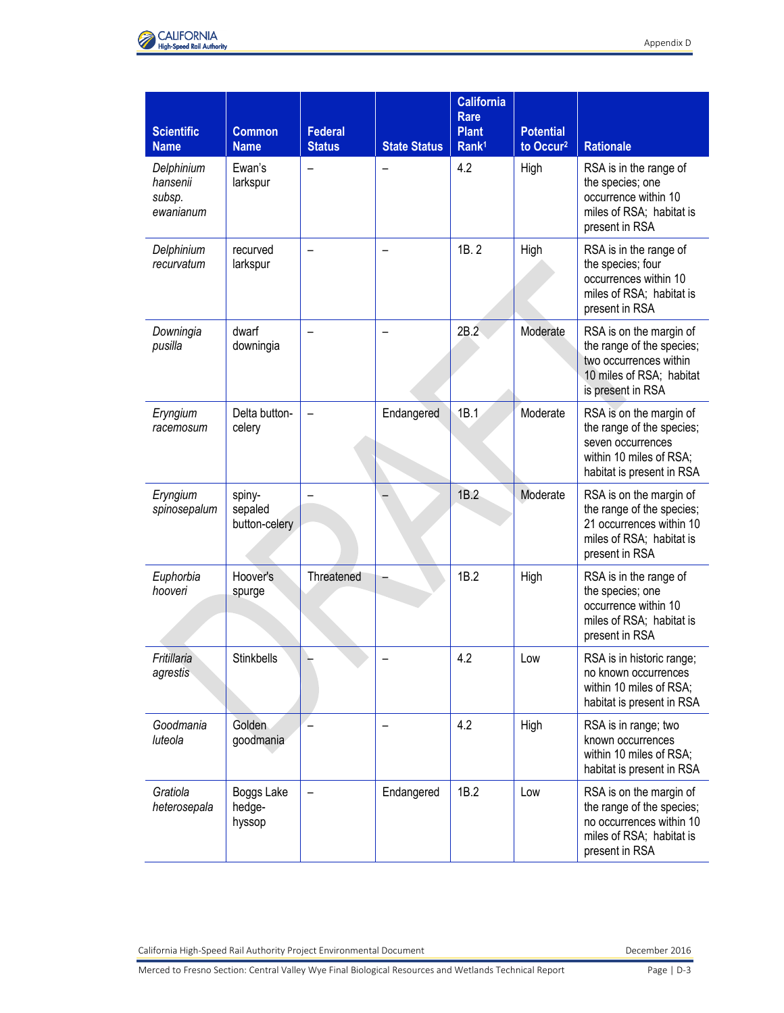

| <b>Scientific</b><br><b>Name</b>              | <b>Common</b><br><b>Name</b>       | <b>Federal</b><br><b>Status</b> | <b>State Status</b> | <b>California</b><br><b>Rare</b><br><b>Plant</b><br>Rank <sup>1</sup> | <b>Potential</b><br>to Occur <sup>2</sup> | <b>Rationale</b>                                                                                                                  |
|-----------------------------------------------|------------------------------------|---------------------------------|---------------------|-----------------------------------------------------------------------|-------------------------------------------|-----------------------------------------------------------------------------------------------------------------------------------|
| Delphinium<br>hansenii<br>subsp.<br>ewanianum | Ewan's<br>larkspur                 |                                 |                     | 4.2                                                                   | High                                      | RSA is in the range of<br>the species; one<br>occurrence within 10<br>miles of RSA; habitat is<br>present in RSA                  |
| Delphinium<br>recurvatum                      | recurved<br>larkspur               |                                 |                     | 1B.2                                                                  | High                                      | RSA is in the range of<br>the species; four<br>occurrences within 10<br>miles of RSA; habitat is<br>present in RSA                |
| Downingia<br>pusilla                          | dwarf<br>downingia                 |                                 |                     | 2B.2                                                                  | Moderate                                  | RSA is on the margin of<br>the range of the species;<br>two occurrences within<br>10 miles of RSA; habitat<br>is present in RSA   |
| Eryngium<br>racemosum                         | Delta button-<br>celery            |                                 | Endangered          | 1B.1                                                                  | Moderate                                  | RSA is on the margin of<br>the range of the species;<br>seven occurrences<br>within 10 miles of RSA;<br>habitat is present in RSA |
| Eryngium<br>spinosepalum                      | spiny-<br>sepaled<br>button-celery |                                 |                     | 1B.2                                                                  | Moderate                                  | RSA is on the margin of<br>the range of the species;<br>21 occurrences within 10<br>miles of RSA; habitat is<br>present in RSA    |
| Euphorbia<br>hooveri                          | Hoover's<br>spurge                 | Threatened                      |                     | 1B.2                                                                  | High                                      | RSA is in the range of<br>the species; one<br>occurrence within 10<br>miles of RSA; habitat is<br>present in RSA                  |
| Fritillaria<br>agrestis                       | Stinkbells                         |                                 |                     | 4.2                                                                   | Low                                       | RSA is in historic range;<br>no known occurrences<br>within 10 miles of RSA;<br>habitat is present in RSA                         |
| Goodmania<br>luteola                          | Golden<br>goodmania                |                                 |                     | 4.2                                                                   | High                                      | RSA is in range; two<br>known occurrences<br>within 10 miles of RSA;<br>habitat is present in RSA                                 |
| Gratiola<br>heterosepala                      | Boggs Lake<br>hedge-<br>hyssop     |                                 | Endangered          | 1B.2                                                                  | Low                                       | RSA is on the margin of<br>the range of the species;<br>no occurrences within 10<br>miles of RSA; habitat is<br>present in RSA    |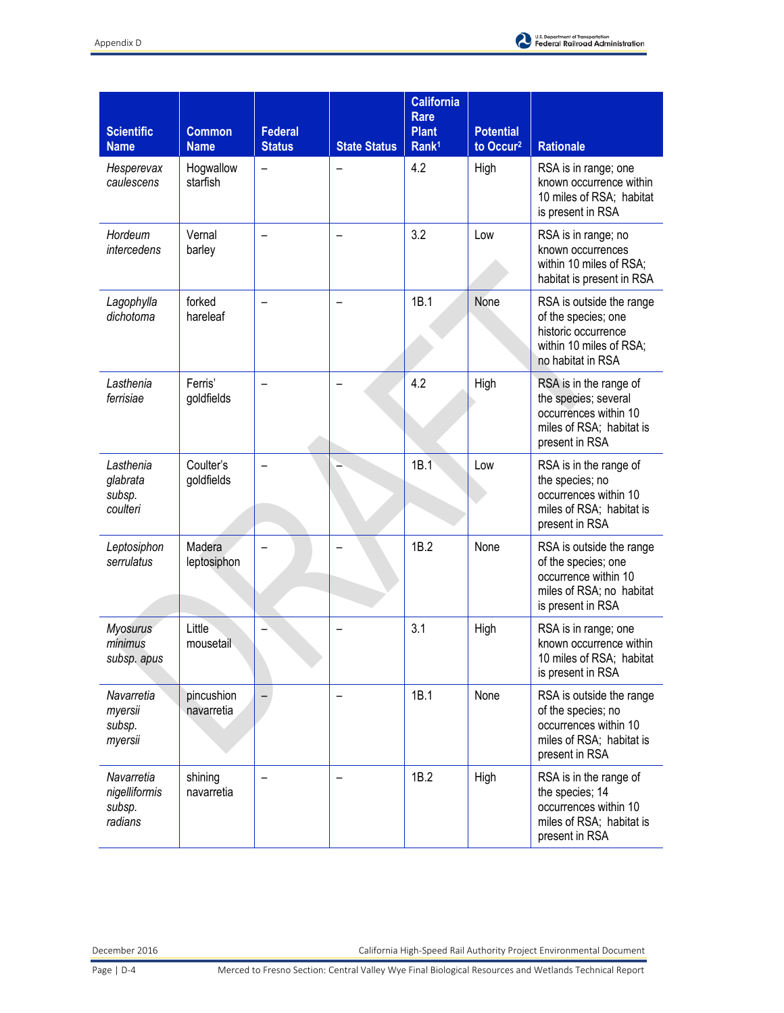

| <b>Scientific</b><br><b>Name</b>                 | <b>Common</b><br><b>Name</b> | <b>Federal</b><br><b>Status</b> | <b>State Status</b> | <b>California</b><br>Rare<br><b>Plant</b><br>Rank <sup>1</sup> | <b>Potential</b><br>to Occur <sup>2</sup> | <b>Rationale</b>                                                                                                         |
|--------------------------------------------------|------------------------------|---------------------------------|---------------------|----------------------------------------------------------------|-------------------------------------------|--------------------------------------------------------------------------------------------------------------------------|
| Hesperevax<br>caulescens                         | Hogwallow<br>starfish        |                                 |                     | 4.2                                                            | High                                      | RSA is in range; one<br>known occurrence within<br>10 miles of RSA; habitat<br>is present in RSA                         |
| Hordeum<br>intercedens                           | Vernal<br>barley             |                                 |                     | 3.2                                                            | Low                                       | RSA is in range; no<br>known occurrences<br>within 10 miles of RSA;<br>habitat is present in RSA                         |
| Lagophylla<br>dichotoma                          | forked<br>hareleaf           |                                 |                     | 1B.1                                                           | None                                      | RSA is outside the range<br>of the species; one<br>historic occurrence<br>within 10 miles of RSA;<br>no habitat in RSA   |
| Lasthenia<br>ferrisiae                           | Ferris'<br>goldfields        |                                 |                     | 4.2                                                            | High                                      | RSA is in the range of<br>the species; several<br>occurrences within 10<br>miles of RSA; habitat is<br>present in RSA    |
| Lasthenia<br>glabrata<br>subsp.<br>coulteri      | Coulter's<br>goldfields      |                                 |                     | 1B.1                                                           | Low                                       | RSA is in the range of<br>the species; no<br>occurrences within 10<br>miles of RSA; habitat is<br>present in RSA         |
| Leptosiphon<br>serrulatus                        | Madera<br>leptosiphon        |                                 |                     | 1B.2                                                           | None                                      | RSA is outside the range<br>of the species; one<br>occurrence within 10<br>miles of RSA; no habitat<br>is present in RSA |
| <b>Myosurus</b><br>minimus<br>subsp. apus        | Little<br>mousetail          |                                 |                     | 3.1                                                            | High                                      | RSA is in range; one<br>known occurrence within<br>10 miles of RSA; habitat<br>is present in RSA                         |
| Navarretia<br>myersii<br>subsp.<br>myersii       | pincushion<br>navarretia     |                                 |                     | 1B.1                                                           | None                                      | RSA is outside the range<br>of the species; no<br>occurrences within 10<br>miles of RSA; habitat is<br>present in RSA    |
| Navarretia<br>nigelliformis<br>subsp.<br>radians | shining<br>navarretia        |                                 |                     | 1B.2                                                           | High                                      | RSA is in the range of<br>the species; 14<br>occurrences within 10<br>miles of RSA; habitat is<br>present in RSA         |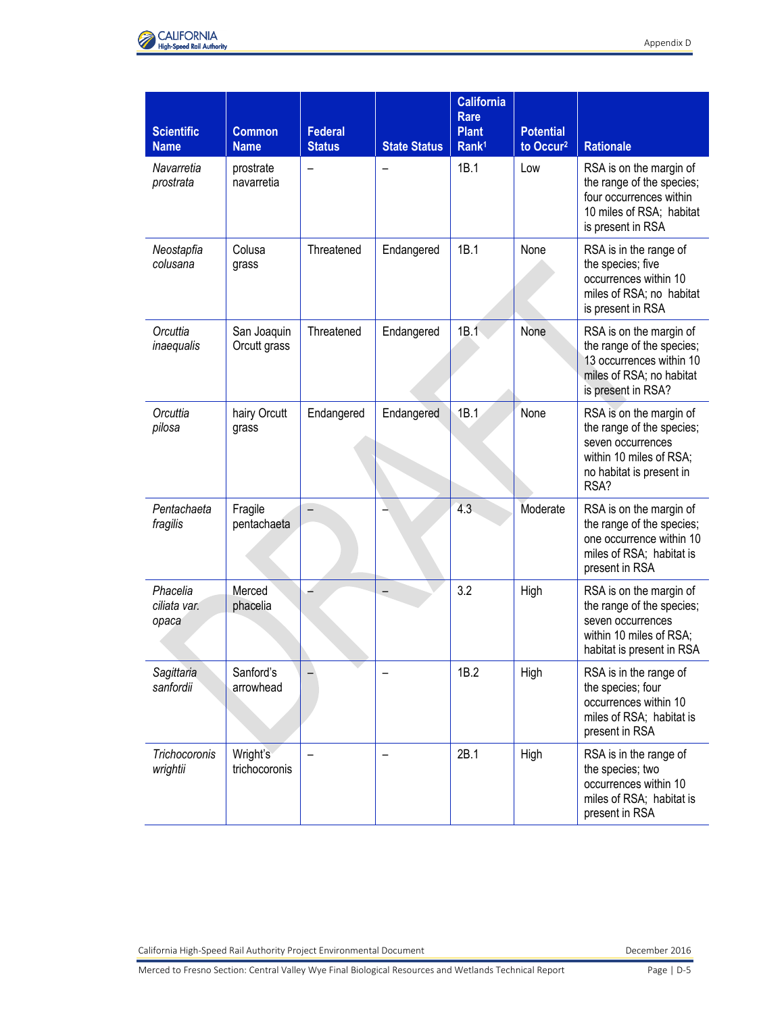



| <b>Scientific</b><br><b>Name</b>  | <b>Common</b><br><b>Name</b> | <b>Federal</b><br><b>Status</b> | <b>State Status</b> | <b>California</b><br><b>Rare</b><br><b>Plant</b><br>Rank <sup>1</sup> | <b>Potential</b><br>to Occur <sup>2</sup> | <b>Rationale</b>                                                                                                                         |
|-----------------------------------|------------------------------|---------------------------------|---------------------|-----------------------------------------------------------------------|-------------------------------------------|------------------------------------------------------------------------------------------------------------------------------------------|
| Navarretia<br>prostrata           | prostrate<br>navarretia      |                                 |                     | 1B.1                                                                  | Low                                       | RSA is on the margin of<br>the range of the species;<br>four occurrences within<br>10 miles of RSA; habitat<br>is present in RSA         |
| Neostapfia<br>colusana            | Colusa<br>grass              | Threatened                      | Endangered          | 1B.1                                                                  | None                                      | RSA is in the range of<br>the species; five<br>occurrences within 10<br>miles of RSA; no habitat<br>is present in RSA                    |
| Orcuttia<br>inaequalis            | San Joaquin<br>Orcutt grass  | Threatened                      | Endangered          | 1B.1                                                                  | None                                      | RSA is on the margin of<br>the range of the species;<br>13 occurrences within 10<br>miles of RSA; no habitat<br>is present in RSA?       |
| Orcuttia<br>pilosa                | hairy Orcutt<br>grass        | Endangered                      | Endangered          | 1B.1                                                                  | None                                      | RSA is on the margin of<br>the range of the species;<br>seven occurrences<br>within 10 miles of RSA;<br>no habitat is present in<br>RSA? |
| Pentachaeta<br>fragilis           | Fragile<br>pentachaeta       |                                 |                     | 4.3                                                                   | Moderate                                  | RSA is on the margin of<br>the range of the species;<br>one occurrence within 10<br>miles of RSA; habitat is<br>present in RSA           |
| Phacelia<br>ciliata var.<br>opaca | Merced<br>phacelia           |                                 |                     | 3.2                                                                   | High                                      | RSA is on the margin of<br>the range of the species;<br>seven occurrences<br>within 10 miles of RSA;<br>habitat is present in RSA        |
| Sagittaria<br>sanfordii           | Sanford's<br>arrowhead       |                                 |                     | 1B.2                                                                  | High                                      | RSA is in the range of<br>the species; four<br>occurrences within 10<br>miles of RSA; habitat is<br>present in RSA                       |
| <b>Trichocoronis</b><br>wrightii  | Wright's<br>trichocoronis    |                                 |                     | 2B.1                                                                  | High                                      | RSA is in the range of<br>the species; two<br>occurrences within 10<br>miles of RSA; habitat is<br>present in RSA                        |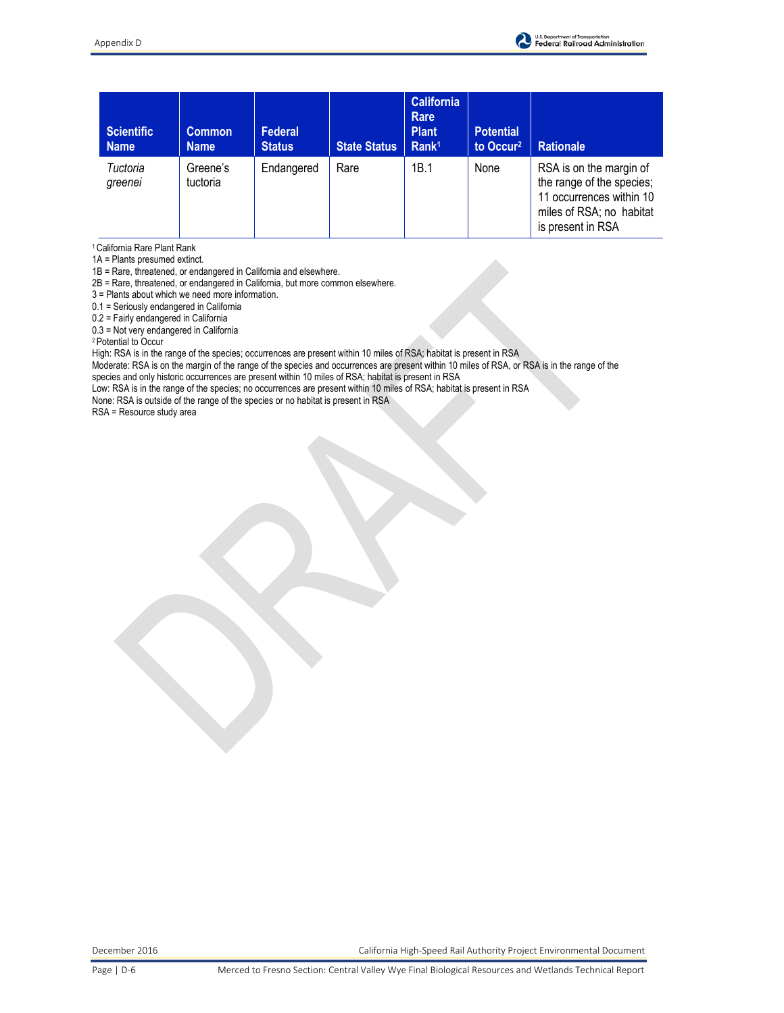

| <b>Scientific</b><br><b>Name</b> | <b>Common</b><br><b>Name</b> | Federal<br><b>Status</b> | <b>State Status</b> | <b>California</b><br><b>Rare</b><br><b>Plant</b><br>Rank <sup>1</sup> | <b>Potential</b><br>to Occur <sup>2</sup> | <b>Rationale</b>                                                                                                                  |
|----------------------------------|------------------------------|--------------------------|---------------------|-----------------------------------------------------------------------|-------------------------------------------|-----------------------------------------------------------------------------------------------------------------------------------|
| Tuctoria<br>greenei              | Greene's<br>tuctoria         | Endangered               | Rare                | 1B.1                                                                  | None                                      | RSA is on the margin of<br>the range of the species;<br>11 occurrences within 10<br>miles of RSA; no habitat<br>is present in RSA |

<sup>1</sup>California Rare Plant Rank

1A = Plants presumed extinct.

1B = Rare, threatened, or endangered in California and elsewhere.

2B = Rare, threatened, or endangered in California, but more common elsewhere.

3 = Plants about which we need more information.

0.1 = Seriously endangered in California

0.2 = Fairly endangered in California

0.3 = Not very endangered in California

<sup>2</sup>Potential to Occur

High: RSA is in the range of the species; occurrences are present within 10 miles of RSA; habitat is present in RSA

Moderate: RSA is on the margin of the range of the species and occurrences are present within 10 miles of RSA, or RSA is in the range of the

species and only historic occurrences are present within 10 miles of RSA; habitat is present in RSA

Low: RSA is in the range of the species; no occurrences are present within 10 miles of RSA; habitat is present in RSA

None: RSA is outside of the range of the species or no habitat is present in RSA

RSA = Resource study area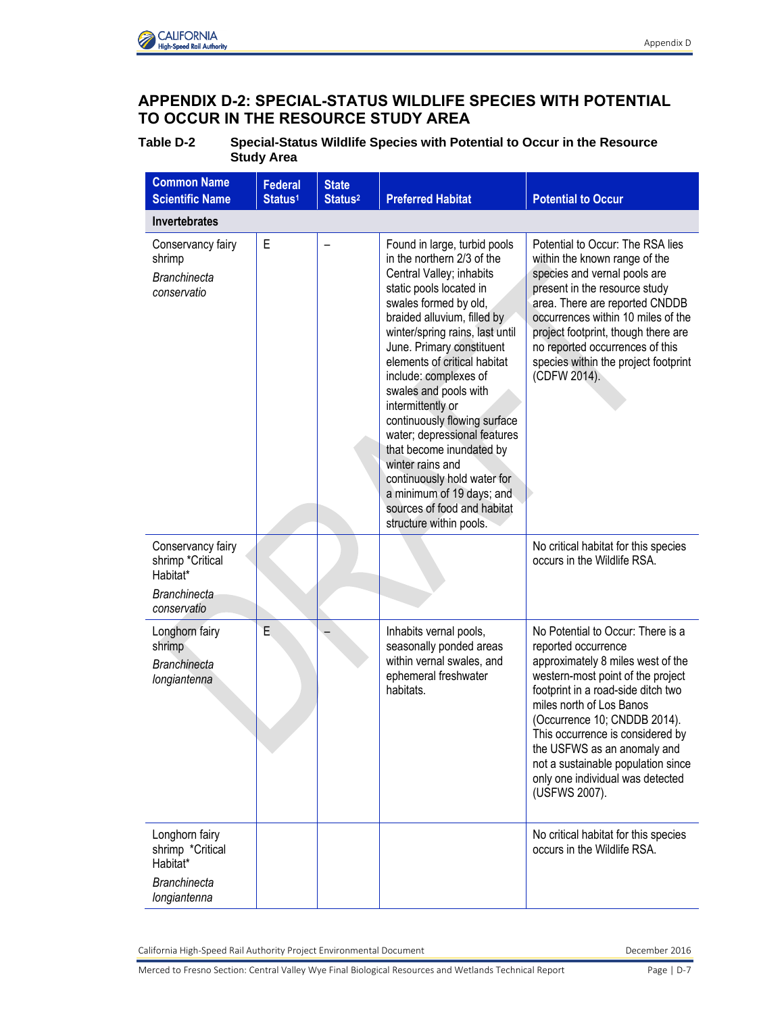

## **APPENDIX D-2: SPECIAL-STATUS WILDLIFE SPECIES WITH POTENTIAL TO OCCUR IN THE RESOURCE STUDY AREA**

**Table D-2 Special-Status Wildlife Species with Potential to Occur in the Resource Study Area** 

| <b>Common Name</b><br><b>Scientific Name</b>                                            | <b>Federal</b><br>Status <sup>1</sup> | <b>State</b><br>Status <sup>2</sup> | <b>Preferred Habitat</b>                                                                                                                                                                                                                                                                                                                                                                                                                                                                                                                                                               | <b>Potential to Occur</b>                                                                                                                                                                                                                                                                                                                                                                          |
|-----------------------------------------------------------------------------------------|---------------------------------------|-------------------------------------|----------------------------------------------------------------------------------------------------------------------------------------------------------------------------------------------------------------------------------------------------------------------------------------------------------------------------------------------------------------------------------------------------------------------------------------------------------------------------------------------------------------------------------------------------------------------------------------|----------------------------------------------------------------------------------------------------------------------------------------------------------------------------------------------------------------------------------------------------------------------------------------------------------------------------------------------------------------------------------------------------|
| <b>Invertebrates</b>                                                                    |                                       |                                     |                                                                                                                                                                                                                                                                                                                                                                                                                                                                                                                                                                                        |                                                                                                                                                                                                                                                                                                                                                                                                    |
| Conservancy fairy<br>shrimp<br><b>Branchinecta</b><br>conservatio                       | E                                     |                                     | Found in large, turbid pools<br>in the northern 2/3 of the<br>Central Valley; inhabits<br>static pools located in<br>swales formed by old,<br>braided alluvium, filled by<br>winter/spring rains, last until<br>June. Primary constituent<br>elements of critical habitat<br>include: complexes of<br>swales and pools with<br>intermittently or<br>continuously flowing surface<br>water; depressional features<br>that become inundated by<br>winter rains and<br>continuously hold water for<br>a minimum of 19 days; and<br>sources of food and habitat<br>structure within pools. | Potential to Occur: The RSA lies<br>within the known range of the<br>species and vernal pools are<br>present in the resource study<br>area. There are reported CNDDB<br>occurrences within 10 miles of the<br>project footprint, though there are<br>no reported occurrences of this<br>species within the project footprint<br>(CDFW 2014).                                                       |
| Conservancy fairy<br>shrimp *Critical<br>Habitat*<br><b>Branchinecta</b><br>conservatio |                                       |                                     |                                                                                                                                                                                                                                                                                                                                                                                                                                                                                                                                                                                        | No critical habitat for this species<br>occurs in the Wildlife RSA.                                                                                                                                                                                                                                                                                                                                |
| Longhorn fairy<br>shrimp<br><b>Branchinecta</b><br>longiantenna                         | E                                     |                                     | Inhabits vernal pools,<br>seasonally ponded areas<br>within vernal swales, and<br>ephemeral freshwater<br>habitats.                                                                                                                                                                                                                                                                                                                                                                                                                                                                    | No Potential to Occur: There is a<br>reported occurrence<br>approximately 8 miles west of the<br>western-most point of the project<br>footprint in a road-side ditch two<br>miles north of Los Banos<br>(Occurrence 10; CNDDB 2014).<br>This occurrence is considered by<br>the USFWS as an anomaly and<br>not a sustainable population since<br>only one individual was detected<br>(USFWS 2007). |
| Longhorn fairy<br>shrimp *Critical<br>Habitat*<br><b>Branchinecta</b><br>longiantenna   |                                       |                                     |                                                                                                                                                                                                                                                                                                                                                                                                                                                                                                                                                                                        | No critical habitat for this species<br>occurs in the Wildlife RSA.                                                                                                                                                                                                                                                                                                                                |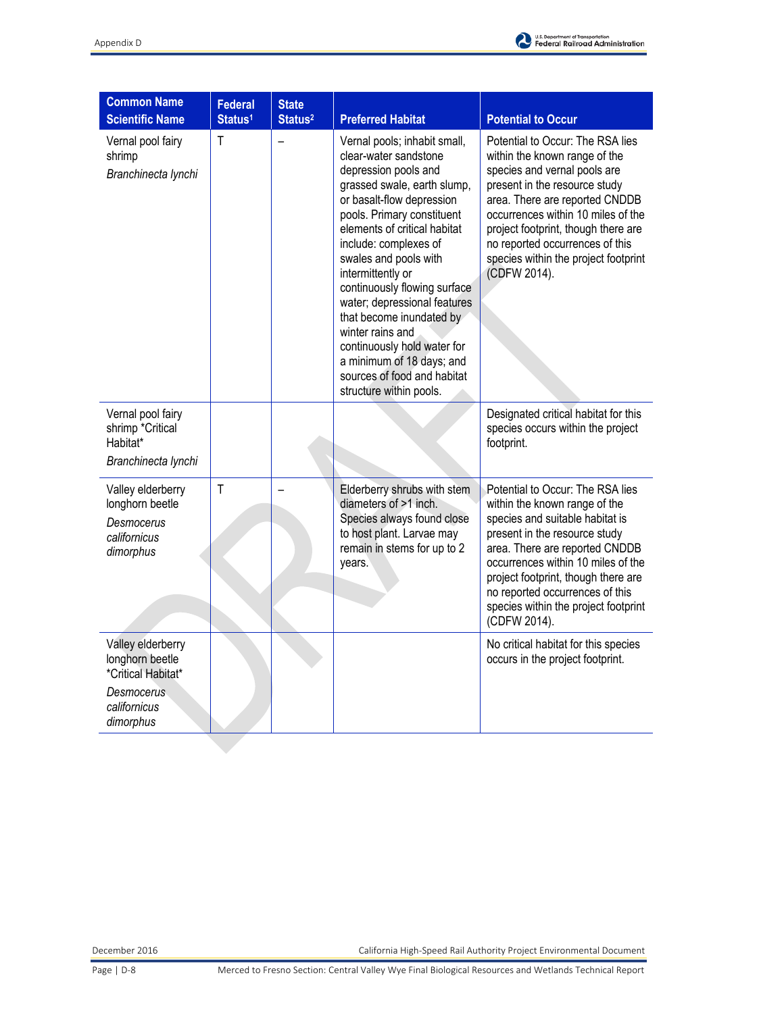

| <b>Common Name</b><br><b>Scientific Name</b>                                    | <b>Federal</b><br>Status <sup>1</sup> | <b>State</b><br>Status <sup>2</sup> | <b>Preferred Habitat</b>                                                                                                                                                                                                                                                                                                                                                                                                                                                                                             | <b>Potential to Occur</b>                                                                                                                                                                                                                                                                                                                       |
|---------------------------------------------------------------------------------|---------------------------------------|-------------------------------------|----------------------------------------------------------------------------------------------------------------------------------------------------------------------------------------------------------------------------------------------------------------------------------------------------------------------------------------------------------------------------------------------------------------------------------------------------------------------------------------------------------------------|-------------------------------------------------------------------------------------------------------------------------------------------------------------------------------------------------------------------------------------------------------------------------------------------------------------------------------------------------|
| Vernal pool fairy<br>shrimp<br>Branchinecta lynchi                              | T                                     |                                     | Vernal pools; inhabit small,<br>clear-water sandstone<br>depression pools and<br>grassed swale, earth slump,<br>or basalt-flow depression<br>pools. Primary constituent<br>elements of critical habitat<br>include: complexes of<br>swales and pools with<br>intermittently or<br>continuously flowing surface<br>water; depressional features<br>that become inundated by<br>winter rains and<br>continuously hold water for<br>a minimum of 18 days; and<br>sources of food and habitat<br>structure within pools. | Potential to Occur: The RSA lies<br>within the known range of the<br>species and vernal pools are<br>present in the resource study<br>area. There are reported CNDDB<br>occurrences within 10 miles of the<br>project footprint, though there are<br>no reported occurrences of this<br>species within the project footprint<br>(CDFW 2014).    |
| Vernal pool fairy<br>shrimp *Critical<br>Habitat*<br>Branchinecta lynchi        |                                       |                                     |                                                                                                                                                                                                                                                                                                                                                                                                                                                                                                                      | Designated critical habitat for this<br>species occurs within the project<br>footprint.                                                                                                                                                                                                                                                         |
| Valley elderberry<br>longhorn beetle<br>Desmocerus<br>californicus<br>dimorphus | $\mathsf{T}$                          |                                     | Elderberry shrubs with stem<br>diameters of >1 inch.<br>Species always found close<br>to host plant. Larvae may<br>remain in stems for up to 2<br>years.                                                                                                                                                                                                                                                                                                                                                             | Potential to Occur: The RSA lies<br>within the known range of the<br>species and suitable habitat is<br>present in the resource study<br>area. There are reported CNDDB<br>occurrences within 10 miles of the<br>project footprint, though there are<br>no reported occurrences of this<br>species within the project footprint<br>(CDFW 2014). |
| Valley elderberry<br>longhorn beetle<br>*Critical Habitat*                      |                                       |                                     |                                                                                                                                                                                                                                                                                                                                                                                                                                                                                                                      | No critical habitat for this species<br>occurs in the project footprint.                                                                                                                                                                                                                                                                        |
| Desmocerus<br>californicus<br>dimorphus                                         |                                       |                                     |                                                                                                                                                                                                                                                                                                                                                                                                                                                                                                                      |                                                                                                                                                                                                                                                                                                                                                 |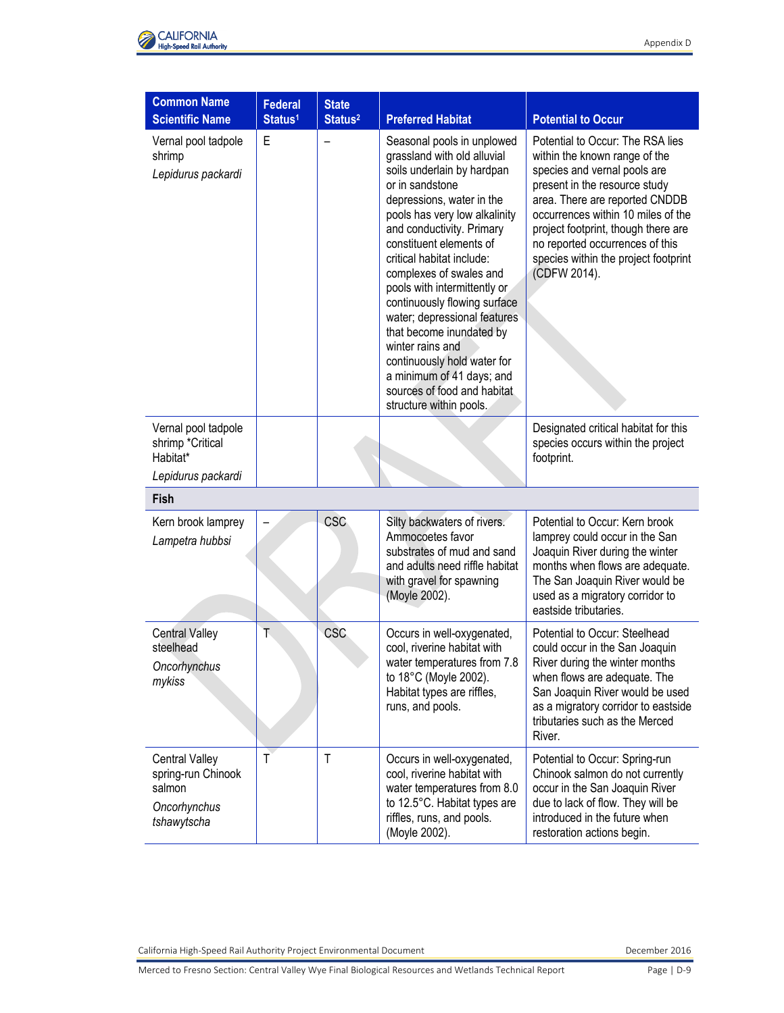

| <b>Common Name</b><br><b>Scientific Name</b>                                         | <b>Federal</b><br>Status <sup>1</sup> | <b>State</b><br>Status <sup>2</sup> | <b>Preferred Habitat</b>                                                                                                                                                                                                                                                                                                                                                                                                                                                                                                                                       | <b>Potential to Occur</b>                                                                                                                                                                                                                                                                                                                    |
|--------------------------------------------------------------------------------------|---------------------------------------|-------------------------------------|----------------------------------------------------------------------------------------------------------------------------------------------------------------------------------------------------------------------------------------------------------------------------------------------------------------------------------------------------------------------------------------------------------------------------------------------------------------------------------------------------------------------------------------------------------------|----------------------------------------------------------------------------------------------------------------------------------------------------------------------------------------------------------------------------------------------------------------------------------------------------------------------------------------------|
| Vernal pool tadpole<br>shrimp<br>Lepidurus packardi                                  | E                                     |                                     | Seasonal pools in unplowed<br>grassland with old alluvial<br>soils underlain by hardpan<br>or in sandstone<br>depressions, water in the<br>pools has very low alkalinity<br>and conductivity. Primary<br>constituent elements of<br>critical habitat include:<br>complexes of swales and<br>pools with intermittently or<br>continuously flowing surface<br>water; depressional features<br>that become inundated by<br>winter rains and<br>continuously hold water for<br>a minimum of 41 days; and<br>sources of food and habitat<br>structure within pools. | Potential to Occur: The RSA lies<br>within the known range of the<br>species and vernal pools are<br>present in the resource study<br>area. There are reported CNDDB<br>occurrences within 10 miles of the<br>project footprint, though there are<br>no reported occurrences of this<br>species within the project footprint<br>(CDFW 2014). |
| Vernal pool tadpole<br>shrimp *Critical<br>Habitat*<br>Lepidurus packardi            |                                       |                                     |                                                                                                                                                                                                                                                                                                                                                                                                                                                                                                                                                                | Designated critical habitat for this<br>species occurs within the project<br>footprint.                                                                                                                                                                                                                                                      |
| Fish                                                                                 |                                       |                                     |                                                                                                                                                                                                                                                                                                                                                                                                                                                                                                                                                                |                                                                                                                                                                                                                                                                                                                                              |
| Kern brook lamprey<br>Lampetra hubbsi                                                |                                       | <b>CSC</b>                          | Silty backwaters of rivers.<br>Ammocoetes favor<br>substrates of mud and sand<br>and adults need riffle habitat<br>with gravel for spawning<br>(Moyle 2002).                                                                                                                                                                                                                                                                                                                                                                                                   | Potential to Occur: Kern brook<br>lamprey could occur in the San<br>Joaquin River during the winter<br>months when flows are adequate.<br>The San Joaquin River would be<br>used as a migratory corridor to<br>eastside tributaries.                                                                                                         |
| <b>Central Valley</b><br>steelhead<br>Oncorhynchus<br>mykiss                         | T                                     | <b>CSC</b>                          | Occurs in well-oxygenated,<br>cool, riverine habitat with<br>water temperatures from 7.8<br>to 18°C (Moyle 2002).<br>Habitat types are riffles,<br>runs, and pools.                                                                                                                                                                                                                                                                                                                                                                                            | Potential to Occur: Steelhead<br>could occur in the San Joaquin<br>River during the winter months<br>when flows are adequate. The<br>San Joaquin River would be used<br>as a migratory corridor to eastside<br>tributaries such as the Merced<br>River.                                                                                      |
| <b>Central Valley</b><br>spring-run Chinook<br>salmon<br>Oncorhynchus<br>tshawytscha | T                                     | $\mathsf{T}$                        | Occurs in well-oxygenated,<br>cool, riverine habitat with<br>water temperatures from 8.0<br>to 12.5°C. Habitat types are<br>riffles, runs, and pools.<br>(Moyle 2002).                                                                                                                                                                                                                                                                                                                                                                                         | Potential to Occur: Spring-run<br>Chinook salmon do not currently<br>occur in the San Joaquin River<br>due to lack of flow. They will be<br>introduced in the future when<br>restoration actions begin.                                                                                                                                      |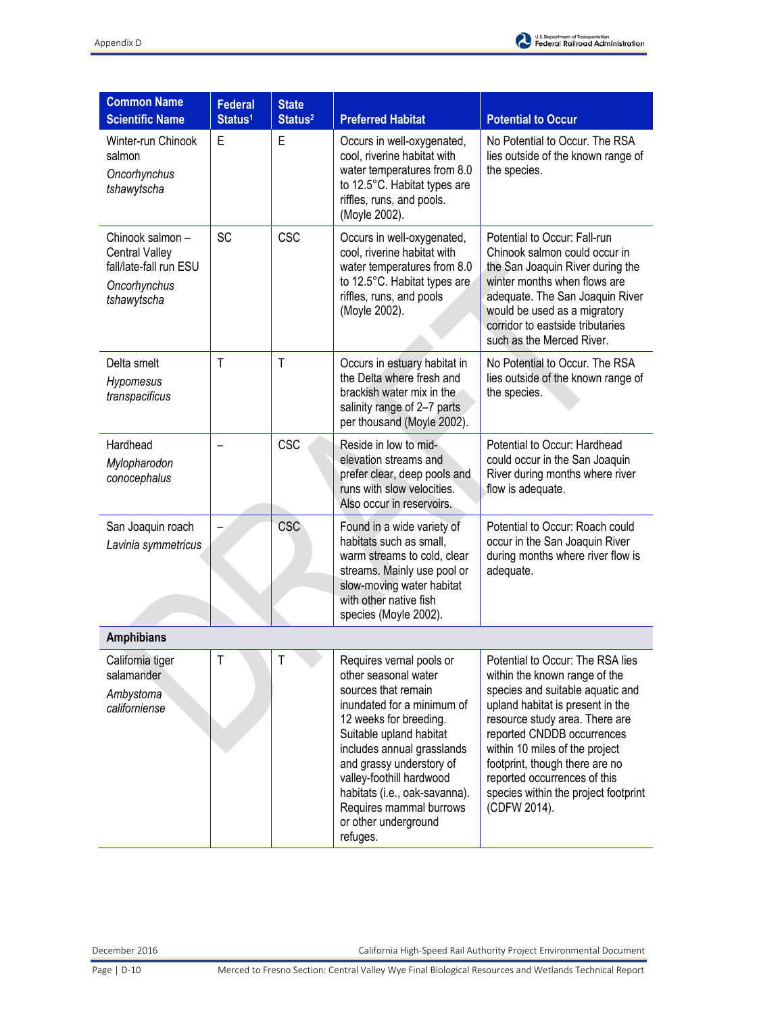

| <b>Common Name</b><br><b>Scientific Name</b>                                                       | <b>Federal</b><br>Status <sup>1</sup> | <b>State</b><br>Status <sup>2</sup> | <b>Preferred Habitat</b>                                                                                                                                                                                                                                                                                                                         | <b>Potential to Occur</b>                                                                                                                                                                                                                                                                                                                                             |
|----------------------------------------------------------------------------------------------------|---------------------------------------|-------------------------------------|--------------------------------------------------------------------------------------------------------------------------------------------------------------------------------------------------------------------------------------------------------------------------------------------------------------------------------------------------|-----------------------------------------------------------------------------------------------------------------------------------------------------------------------------------------------------------------------------------------------------------------------------------------------------------------------------------------------------------------------|
| Winter-run Chinook<br>salmon<br>Oncorhynchus<br>tshawytscha                                        | E                                     | E                                   | Occurs in well-oxygenated,<br>cool, riverine habitat with<br>water temperatures from 8.0<br>to 12.5°C. Habitat types are<br>riffles, runs, and pools.<br>(Moyle 2002).                                                                                                                                                                           | No Potential to Occur. The RSA<br>lies outside of the known range of<br>the species.                                                                                                                                                                                                                                                                                  |
| Chinook salmon -<br><b>Central Valley</b><br>fall/late-fall run ESU<br>Oncorhynchus<br>tshawytscha | SC                                    | <b>CSC</b>                          | Occurs in well-oxygenated,<br>cool, riverine habitat with<br>water temperatures from 8.0<br>to 12.5°C. Habitat types are<br>riffles, runs, and pools<br>(Moyle 2002).                                                                                                                                                                            | Potential to Occur: Fall-run<br>Chinook salmon could occur in<br>the San Joaquin River during the<br>winter months when flows are<br>adequate. The San Joaquin River<br>would be used as a migratory<br>corridor to eastside tributaries<br>such as the Merced River.                                                                                                 |
| Delta smelt<br>Hypomesus<br>transpacificus                                                         | $\mathsf{T}$                          | $\mathsf{T}$                        | Occurs in estuary habitat in<br>the Delta where fresh and<br>brackish water mix in the<br>salinity range of 2-7 parts<br>per thousand (Moyle 2002).                                                                                                                                                                                              | No Potential to Occur. The RSA<br>lies outside of the known range of<br>the species.                                                                                                                                                                                                                                                                                  |
| Hardhead<br>Mylopharodon<br>conocephalus                                                           |                                       | <b>CSC</b>                          | Reside in low to mid-<br>elevation streams and<br>prefer clear, deep pools and<br>runs with slow velocities.<br>Also occur in reservoirs.                                                                                                                                                                                                        | Potential to Occur: Hardhead<br>could occur in the San Joaquin<br>River during months where river<br>flow is adequate.                                                                                                                                                                                                                                                |
| San Joaquin roach<br>Lavinia symmetricus                                                           |                                       | <b>CSC</b>                          | Found in a wide variety of<br>habitats such as small,<br>warm streams to cold, clear<br>streams. Mainly use pool or<br>slow-moving water habitat<br>with other native fish<br>species (Moyle 2002).                                                                                                                                              | Potential to Occur: Roach could<br>occur in the San Joaquin River<br>during months where river flow is<br>adequate.                                                                                                                                                                                                                                                   |
| <b>Amphibians</b>                                                                                  |                                       |                                     |                                                                                                                                                                                                                                                                                                                                                  |                                                                                                                                                                                                                                                                                                                                                                       |
| California tiger<br>salamander<br>Ambystoma<br>californiense                                       |                                       |                                     | Requires vernal pools or<br>other seasonal water<br>sources that remain<br>inundated for a minimum of<br>12 weeks for breeding.<br>Suitable upland habitat<br>includes annual grasslands<br>and grassy understory of<br>valley-foothill hardwood<br>habitats (i.e., oak-savanna).<br>Requires mammal burrows<br>or other underground<br>refuges. | Potential to Occur: The RSA lies<br>within the known range of the<br>species and suitable aquatic and<br>upland habitat is present in the<br>resource study area. There are<br>reported CNDDB occurrences<br>within 10 miles of the project<br>footprint, though there are no<br>reported occurrences of this<br>species within the project footprint<br>(CDFW 2014). |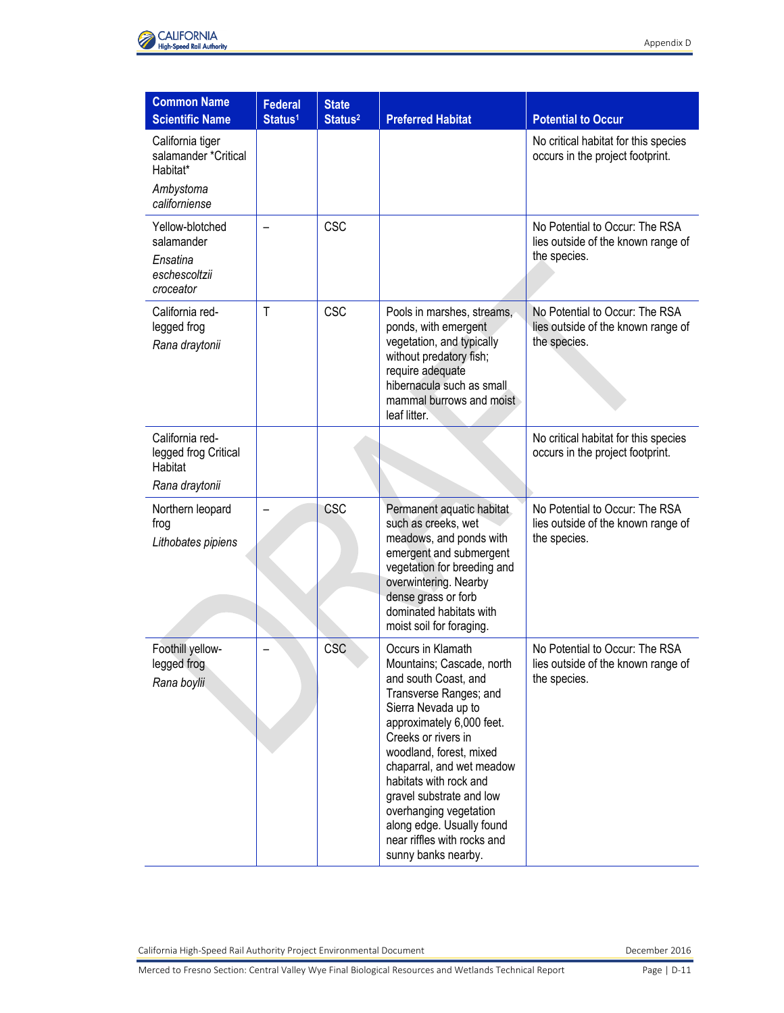

| <b>Common Name</b><br><b>Scientific Name</b>                                       | <b>Federal</b><br>Status <sup>1</sup> | <b>State</b><br>Status <sup>2</sup> | <b>Preferred Habitat</b>                                                                                                                                                                                                                                                                                                                                                                               | <b>Potential to Occur</b>                                                            |
|------------------------------------------------------------------------------------|---------------------------------------|-------------------------------------|--------------------------------------------------------------------------------------------------------------------------------------------------------------------------------------------------------------------------------------------------------------------------------------------------------------------------------------------------------------------------------------------------------|--------------------------------------------------------------------------------------|
| California tiger<br>salamander *Critical<br>Habitat*<br>Ambystoma<br>californiense |                                       |                                     |                                                                                                                                                                                                                                                                                                                                                                                                        | No critical habitat for this species<br>occurs in the project footprint.             |
| Yellow-blotched<br>salamander<br>Ensatina<br>eschescoltzii<br>croceator            |                                       | <b>CSC</b>                          |                                                                                                                                                                                                                                                                                                                                                                                                        | No Potential to Occur: The RSA<br>lies outside of the known range of<br>the species. |
| California red-<br>legged frog<br>Rana draytonii                                   | T                                     | <b>CSC</b>                          | Pools in marshes, streams,<br>ponds, with emergent<br>vegetation, and typically<br>without predatory fish;<br>require adequate<br>hibernacula such as small.<br>mammal burrows and moist<br>leaf litter.                                                                                                                                                                                               | No Potential to Occur: The RSA<br>lies outside of the known range of<br>the species. |
| California red-<br>legged frog Critical<br>Habitat<br>Rana draytonii               |                                       |                                     |                                                                                                                                                                                                                                                                                                                                                                                                        | No critical habitat for this species<br>occurs in the project footprint.             |
| Northern leopard<br>frog<br>Lithobates pipiens                                     |                                       | CSC                                 | Permanent aquatic habitat<br>such as creeks, wet<br>meadows, and ponds with<br>emergent and submergent<br>vegetation for breeding and<br>overwintering. Nearby<br>dense grass or forb<br>dominated habitats with<br>moist soil for foraging.                                                                                                                                                           | No Potential to Occur: The RSA<br>lies outside of the known range of<br>the species. |
| Foothill yellow-<br>legged frog<br>Rana boylii                                     |                                       | CSC                                 | Occurs in Klamath<br>Mountains; Cascade, north<br>and south Coast, and<br>Transverse Ranges; and<br>Sierra Nevada up to<br>approximately 6,000 feet.<br>Creeks or rivers in<br>woodland, forest, mixed<br>chaparral, and wet meadow<br>habitats with rock and<br>gravel substrate and low<br>overhanging vegetation<br>along edge. Usually found<br>near riffles with rocks and<br>sunny banks nearby. | No Potential to Occur: The RSA<br>lies outside of the known range of<br>the species. |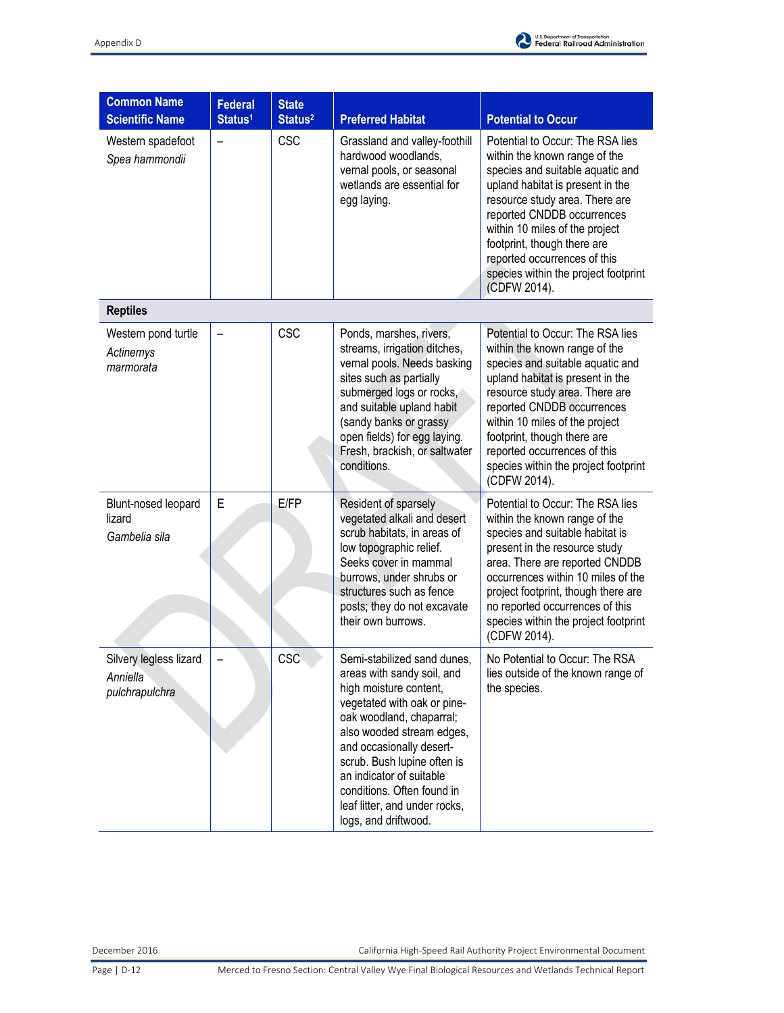

| <b>Common Name</b><br><b>Scientific Name</b>         | <b>Federal</b><br>Status <sup>1</sup> | <b>State</b><br>Status <sup>2</sup> | <b>Preferred Habitat</b>                                                                                                                                                                                                                                                                                                                                  | <b>Potential to Occur</b>                                                                                                                                                                                                                                                                                                                                          |
|------------------------------------------------------|---------------------------------------|-------------------------------------|-----------------------------------------------------------------------------------------------------------------------------------------------------------------------------------------------------------------------------------------------------------------------------------------------------------------------------------------------------------|--------------------------------------------------------------------------------------------------------------------------------------------------------------------------------------------------------------------------------------------------------------------------------------------------------------------------------------------------------------------|
| Western spadefoot<br>Spea hammondii                  |                                       | <b>CSC</b>                          | Grassland and valley-foothill<br>hardwood woodlands,<br>vernal pools, or seasonal<br>wetlands are essential for<br>egg laying.                                                                                                                                                                                                                            | Potential to Occur: The RSA lies<br>within the known range of the<br>species and suitable aquatic and<br>upland habitat is present in the<br>resource study area. There are<br>reported CNDDB occurrences<br>within 10 miles of the project<br>footprint, though there are<br>reported occurrences of this<br>species within the project footprint<br>(CDFW 2014). |
| <b>Reptiles</b>                                      |                                       |                                     |                                                                                                                                                                                                                                                                                                                                                           |                                                                                                                                                                                                                                                                                                                                                                    |
| Western pond turtle<br>Actinemys<br>marmorata        |                                       | <b>CSC</b>                          | Ponds, marshes, rivers,<br>streams, irrigation ditches,<br>vernal pools. Needs basking<br>sites such as partially<br>submerged logs or rocks,<br>and suitable upland habit<br>(sandy banks or grassy<br>open fields) for egg laying.<br>Fresh, brackish, or saltwater<br>conditions.                                                                      | Potential to Occur: The RSA lies<br>within the known range of the<br>species and suitable aquatic and<br>upland habitat is present in the<br>resource study area. There are<br>reported CNDDB occurrences<br>within 10 miles of the project<br>footprint, though there are<br>reported occurrences of this<br>species within the project footprint<br>(CDFW 2014). |
| Blunt-nosed leopard<br>lizard<br>Gambelia sila       | E                                     | E/FP                                | Resident of sparsely<br>vegetated alkali and desert<br>scrub habitats, in areas of<br>low topographic relief.<br>Seeks cover in mammal<br>burrows, under shrubs or<br>structures such as fence<br>posts; they do not excavate<br>their own burrows.                                                                                                       | Potential to Occur: The RSA lies<br>within the known range of the<br>species and suitable habitat is<br>present in the resource study<br>area. There are reported CNDDB<br>occurrences within 10 miles of the<br>project footprint, though there are<br>no reported occurrences of this<br>species within the project footprint<br>(CDFW 2014).                    |
| Silvery legless lizard<br>Anniella<br>pulchrapulchra |                                       | CSC                                 | Semi-stabilized sand dunes,<br>areas with sandy soil, and<br>high moisture content,<br>vegetated with oak or pine-<br>oak woodland, chaparral;<br>also wooded stream edges,<br>and occasionally desert-<br>scrub. Bush lupine often is<br>an indicator of suitable<br>conditions. Often found in<br>leaf litter, and under rocks,<br>logs, and driftwood. | No Potential to Occur: The RSA<br>lies outside of the known range of<br>the species.                                                                                                                                                                                                                                                                               |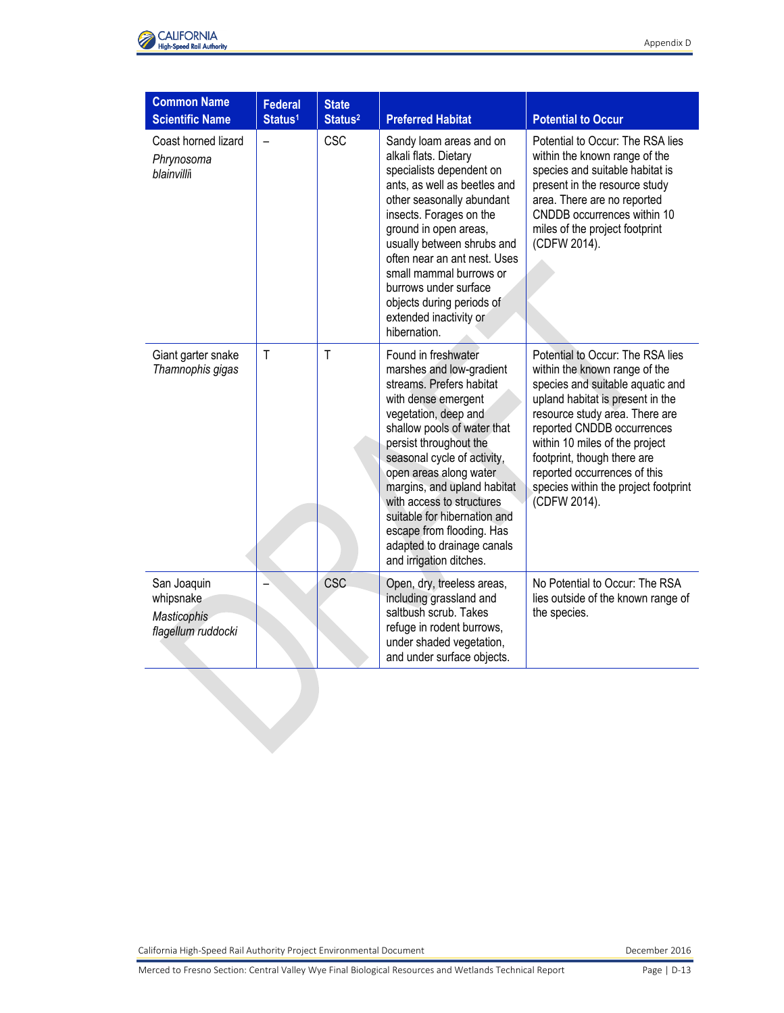

| <b>Common Name</b><br><b>Scientific Name</b>                         | <b>Federal</b><br>Status <sup>1</sup> | <b>State</b><br>Status <sup>2</sup> | <b>Preferred Habitat</b>                                                                                                                                                                                                                                                                                                                                                                                                       | <b>Potential to Occur</b>                                                                                                                                                                                                                                                                                                                                          |
|----------------------------------------------------------------------|---------------------------------------|-------------------------------------|--------------------------------------------------------------------------------------------------------------------------------------------------------------------------------------------------------------------------------------------------------------------------------------------------------------------------------------------------------------------------------------------------------------------------------|--------------------------------------------------------------------------------------------------------------------------------------------------------------------------------------------------------------------------------------------------------------------------------------------------------------------------------------------------------------------|
| Coast horned lizard<br>Phrynosoma<br>blainvilli                      |                                       | <b>CSC</b>                          | Sandy loam areas and on<br>alkali flats. Dietary<br>specialists dependent on<br>ants, as well as beetles and<br>other seasonally abundant<br>insects. Forages on the<br>ground in open areas,<br>usually between shrubs and<br>often near an ant nest. Uses<br>small mammal burrows or<br>burrows under surface<br>objects during periods of<br>extended inactivity or<br>hibernation.                                         | Potential to Occur: The RSA lies<br>within the known range of the<br>species and suitable habitat is<br>present in the resource study<br>area. There are no reported<br>CNDDB occurrences within 10<br>miles of the project footprint<br>(CDFW 2014).                                                                                                              |
| Giant garter snake<br>Thamnophis gigas                               | $\mathsf{T}$                          | $\mathsf{T}$                        | Found in freshwater<br>marshes and low-gradient<br>streams. Prefers habitat<br>with dense emergent<br>vegetation, deep and<br>shallow pools of water that<br>persist throughout the<br>seasonal cycle of activity,<br>open areas along water<br>margins, and upland habitat<br>with access to structures<br>suitable for hibernation and<br>escape from flooding. Has<br>adapted to drainage canals<br>and irrigation ditches. | Potential to Occur: The RSA lies<br>within the known range of the<br>species and suitable aquatic and<br>upland habitat is present in the<br>resource study area. There are<br>reported CNDDB occurrences<br>within 10 miles of the project<br>footprint, though there are<br>reported occurrences of this<br>species within the project footprint<br>(CDFW 2014). |
| San Joaquin<br>whipsnake<br><b>Masticophis</b><br>flagellum ruddocki |                                       | <b>CSC</b>                          | Open, dry, treeless areas,<br>including grassland and<br>saltbush scrub. Takes<br>refuge in rodent burrows,<br>under shaded vegetation,<br>and under surface objects.                                                                                                                                                                                                                                                          | No Potential to Occur: The RSA<br>lies outside of the known range of<br>the species.                                                                                                                                                                                                                                                                               |
|                                                                      |                                       |                                     |                                                                                                                                                                                                                                                                                                                                                                                                                                |                                                                                                                                                                                                                                                                                                                                                                    |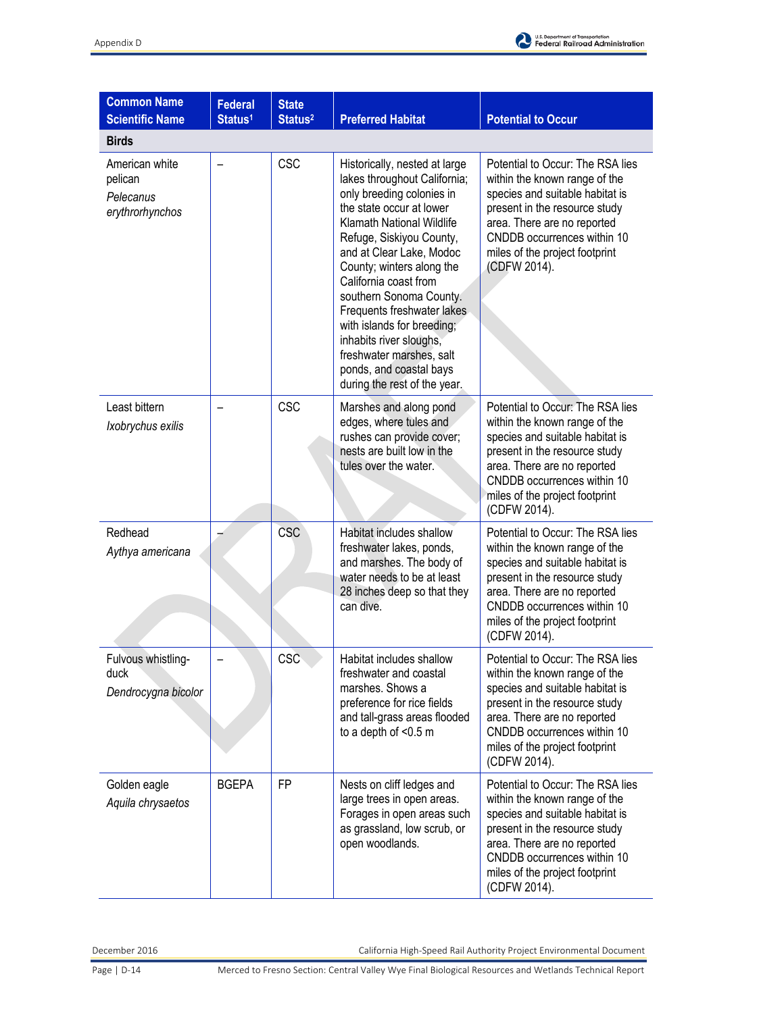

| <b>Common Name</b><br><b>Scientific Name</b>              | <b>Federal</b><br>Status <sup>1</sup> | <b>State</b><br>Status <sup>2</sup> | <b>Preferred Habitat</b>                                                                                                                                                                                                                                                                                                                                                                                                                                                          | <b>Potential to Occur</b>                                                                                                                                                                                                                             |
|-----------------------------------------------------------|---------------------------------------|-------------------------------------|-----------------------------------------------------------------------------------------------------------------------------------------------------------------------------------------------------------------------------------------------------------------------------------------------------------------------------------------------------------------------------------------------------------------------------------------------------------------------------------|-------------------------------------------------------------------------------------------------------------------------------------------------------------------------------------------------------------------------------------------------------|
| <b>Birds</b>                                              |                                       |                                     |                                                                                                                                                                                                                                                                                                                                                                                                                                                                                   |                                                                                                                                                                                                                                                       |
| American white<br>pelican<br>Pelecanus<br>erythrorhynchos |                                       | <b>CSC</b>                          | Historically, nested at large<br>lakes throughout California;<br>only breeding colonies in<br>the state occur at lower<br><b>Klamath National Wildlife</b><br>Refuge, Siskiyou County,<br>and at Clear Lake, Modoc<br>County; winters along the<br>California coast from<br>southern Sonoma County.<br>Frequents freshwater lakes<br>with islands for breeding;<br>inhabits river sloughs,<br>freshwater marshes, salt<br>ponds, and coastal bays<br>during the rest of the year. | Potential to Occur: The RSA lies<br>within the known range of the<br>species and suitable habitat is<br>present in the resource study<br>area. There are no reported<br>CNDDB occurrences within 10<br>miles of the project footprint<br>(CDFW 2014). |
| Least bittern<br>Ixobrychus exilis                        |                                       | <b>CSC</b>                          | Marshes and along pond<br>edges, where tules and<br>rushes can provide cover;<br>nests are built low in the<br>tules over the water.                                                                                                                                                                                                                                                                                                                                              | Potential to Occur: The RSA lies<br>within the known range of the<br>species and suitable habitat is<br>present in the resource study<br>area. There are no reported<br>CNDDB occurrences within 10<br>miles of the project footprint<br>(CDFW 2014). |
| Redhead<br>Aythya americana                               |                                       | <b>CSC</b>                          | Habitat includes shallow<br>freshwater lakes, ponds,<br>and marshes. The body of<br>water needs to be at least<br>28 inches deep so that they<br>can dive.                                                                                                                                                                                                                                                                                                                        | Potential to Occur: The RSA lies<br>within the known range of the<br>species and suitable habitat is<br>present in the resource study<br>area. There are no reported<br>CNDDB occurrences within 10<br>miles of the project footprint<br>(CDFW 2014). |
| Fulvous whistling-<br>duck<br>Dendrocygna bicolor         |                                       | CSC                                 | Habitat includes shallow<br>freshwater and coastal<br>marshes. Shows a<br>preference for rice fields<br>and tall-grass areas flooded<br>to a depth of <0.5 m                                                                                                                                                                                                                                                                                                                      | Potential to Occur: The RSA lies<br>within the known range of the<br>species and suitable habitat is<br>present in the resource study<br>area. There are no reported<br>CNDDB occurrences within 10<br>miles of the project footprint<br>(CDFW 2014). |
| Golden eagle<br>Aquila chrysaetos                         | <b>BGEPA</b>                          | <b>FP</b>                           | Nests on cliff ledges and<br>large trees in open areas.<br>Forages in open areas such<br>as grassland, low scrub, or<br>open woodlands.                                                                                                                                                                                                                                                                                                                                           | Potential to Occur: The RSA lies<br>within the known range of the<br>species and suitable habitat is<br>present in the resource study<br>area. There are no reported<br>CNDDB occurrences within 10<br>miles of the project footprint<br>(CDFW 2014). |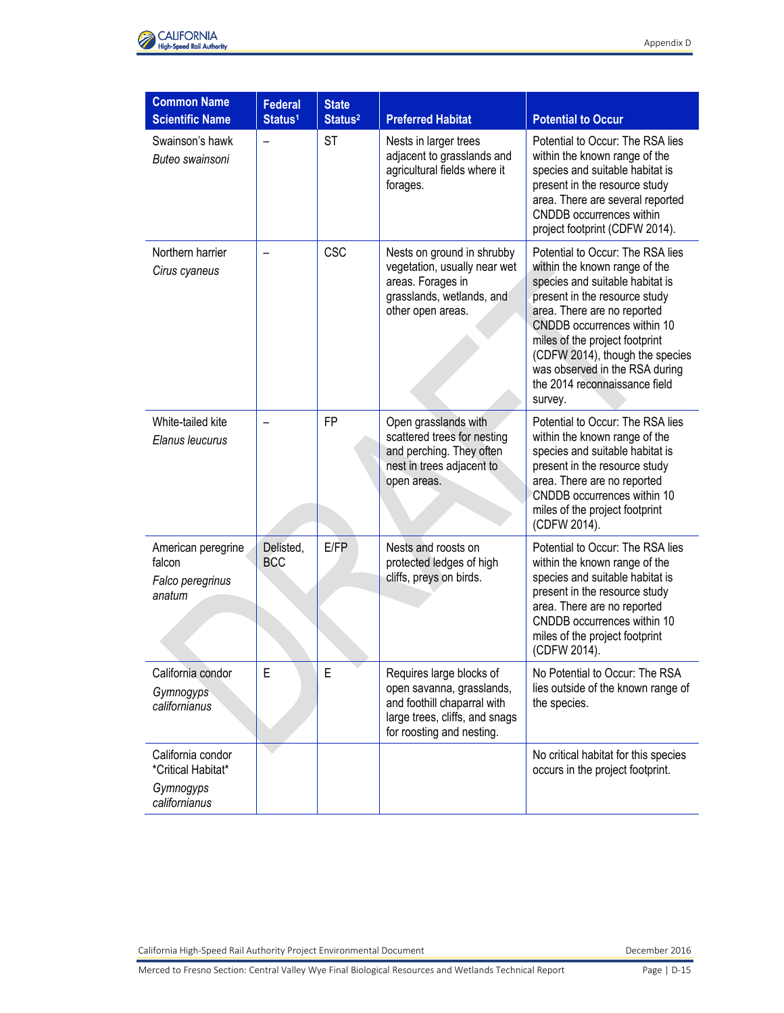

| <b>Common Name</b><br><b>Scientific Name</b>                          | <b>Federal</b><br>Status <sup>1</sup> | <b>State</b><br>Status <sup>2</sup> | <b>Preferred Habitat</b>                                                                                                                            | <b>Potential to Occur</b>                                                                                                                                                                                                                                                                                                                              |
|-----------------------------------------------------------------------|---------------------------------------|-------------------------------------|-----------------------------------------------------------------------------------------------------------------------------------------------------|--------------------------------------------------------------------------------------------------------------------------------------------------------------------------------------------------------------------------------------------------------------------------------------------------------------------------------------------------------|
| Swainson's hawk<br>Buteo swainsoni                                    | $\overline{\phantom{0}}$              | <b>ST</b>                           | Nests in larger trees<br>adjacent to grasslands and<br>agricultural fields where it<br>forages.                                                     | Potential to Occur: The RSA lies<br>within the known range of the<br>species and suitable habitat is<br>present in the resource study<br>area. There are several reported<br>CNDDB occurrences within<br>project footprint (CDFW 2014).                                                                                                                |
| Northern harrier<br>Cirus cyaneus                                     |                                       | <b>CSC</b>                          | Nests on ground in shrubby<br>vegetation, usually near wet<br>areas. Forages in<br>grasslands, wetlands, and<br>other open areas.                   | Potential to Occur: The RSA lies<br>within the known range of the<br>species and suitable habitat is<br>present in the resource study<br>area. There are no reported<br>CNDDB occurrences within 10<br>miles of the project footprint<br>(CDFW 2014), though the species<br>was observed in the RSA during<br>the 2014 reconnaissance field<br>survey. |
| White-tailed kite<br>Elanus leucurus                                  |                                       | <b>FP</b>                           | Open grasslands with<br>scattered trees for nesting<br>and perching. They often<br>nest in trees adjacent to<br>open areas.                         | Potential to Occur: The RSA lies<br>within the known range of the<br>species and suitable habitat is<br>present in the resource study<br>area. There are no reported<br>CNDDB occurrences within 10<br>miles of the project footprint<br>(CDFW 2014).                                                                                                  |
| American peregrine<br>falcon<br>Falco peregrinus<br>anatum            | Delisted,<br><b>BCC</b>               | E/FP                                | Nests and roosts on<br>protected ledges of high<br>cliffs, preys on birds.                                                                          | Potential to Occur: The RSA lies<br>within the known range of the<br>species and suitable habitat is<br>present in the resource study<br>area. There are no reported<br>CNDDB occurrences within 10<br>miles of the project footprint<br>(CDFW 2014).                                                                                                  |
| California condor<br>Gymnogyps<br>californianus                       | E                                     | E                                   | Requires large blocks of<br>open savanna, grasslands,<br>and foothill chaparral with<br>large trees, cliffs, and snags<br>for roosting and nesting. | No Potential to Occur: The RSA<br>lies outside of the known range of<br>the species.                                                                                                                                                                                                                                                                   |
| California condor<br>*Critical Habitat*<br>Gymnogyps<br>californianus |                                       |                                     |                                                                                                                                                     | No critical habitat for this species<br>occurs in the project footprint.                                                                                                                                                                                                                                                                               |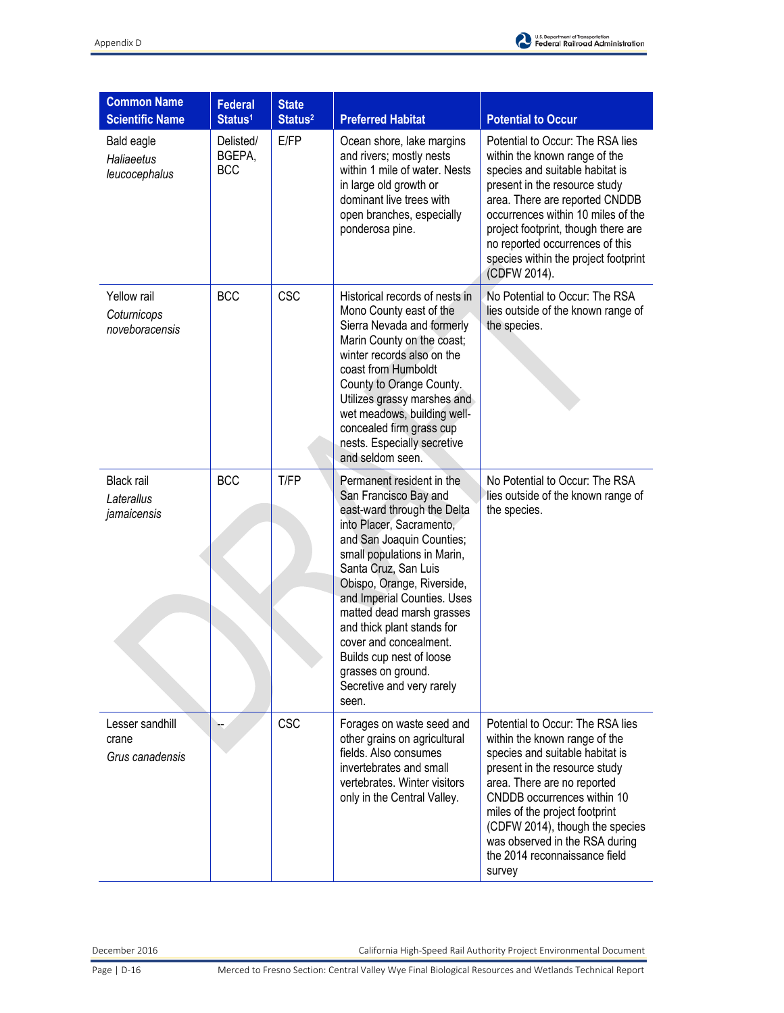

| <b>Common Name</b>                             | <b>Federal</b>                    | <b>State</b>        |                                                                                                                                                                                                                                                                                                                                                                                                                                             |                                                                                                                                                                                                                                                                                                                                                       |
|------------------------------------------------|-----------------------------------|---------------------|---------------------------------------------------------------------------------------------------------------------------------------------------------------------------------------------------------------------------------------------------------------------------------------------------------------------------------------------------------------------------------------------------------------------------------------------|-------------------------------------------------------------------------------------------------------------------------------------------------------------------------------------------------------------------------------------------------------------------------------------------------------------------------------------------------------|
| <b>Scientific Name</b>                         | Status <sup>1</sup>               | Status <sup>2</sup> | <b>Preferred Habitat</b>                                                                                                                                                                                                                                                                                                                                                                                                                    | <b>Potential to Occur</b>                                                                                                                                                                                                                                                                                                                             |
| Bald eagle<br>Haliaeetus<br>leucocephalus      | Delisted/<br>BGEPA,<br><b>BCC</b> | E/FP                | Ocean shore, lake margins<br>and rivers; mostly nests<br>within 1 mile of water. Nests<br>in large old growth or<br>dominant live trees with<br>open branches, especially<br>ponderosa pine.                                                                                                                                                                                                                                                | Potential to Occur: The RSA lies<br>within the known range of the<br>species and suitable habitat is<br>present in the resource study<br>area. There are reported CNDDB<br>occurrences within 10 miles of the<br>project footprint, though there are<br>no reported occurrences of this<br>species within the project footprint<br>(CDFW 2014).       |
| Yellow rail<br>Coturnicops<br>noveboracensis   | <b>BCC</b>                        | <b>CSC</b>          | Historical records of nests in<br>Mono County east of the<br>Sierra Nevada and formerly<br>Marin County on the coast;<br>winter records also on the<br>coast from Humboldt<br>County to Orange County.<br>Utilizes grassy marshes and<br>wet meadows, building well-<br>concealed firm grass cup<br>nests. Especially secretive<br>and seldom seen.                                                                                         | No Potential to Occur: The RSA<br>lies outside of the known range of<br>the species.                                                                                                                                                                                                                                                                  |
| <b>Black rail</b><br>Laterallus<br>jamaicensis | <b>BCC</b>                        | T/FP                | Permanent resident in the<br>San Francisco Bay and<br>east-ward through the Delta<br>into Placer, Sacramento,<br>and San Joaquin Counties;<br>small populations in Marin,<br>Santa Cruz, San Luis<br>Obispo, Orange, Riverside,<br>and Imperial Counties. Uses<br>matted dead marsh grasses<br>and thick plant stands for<br>cover and concealment.<br>Builds cup nest of loose<br>grasses on ground.<br>Secretive and very rarely<br>seen. | No Potential to Occur: The RSA<br>lies outside of the known range of<br>the species.                                                                                                                                                                                                                                                                  |
| Lesser sandhill<br>crane<br>Grus canadensis    |                                   | <b>CSC</b>          | Forages on waste seed and<br>other grains on agricultural<br>fields. Also consumes<br>invertebrates and small<br>vertebrates. Winter visitors<br>only in the Central Valley.                                                                                                                                                                                                                                                                | Potential to Occur: The RSA lies<br>within the known range of the<br>species and suitable habitat is<br>present in the resource study<br>area. There are no reported<br>CNDDB occurrences within 10<br>miles of the project footprint<br>(CDFW 2014), though the species<br>was observed in the RSA during<br>the 2014 reconnaissance field<br>survey |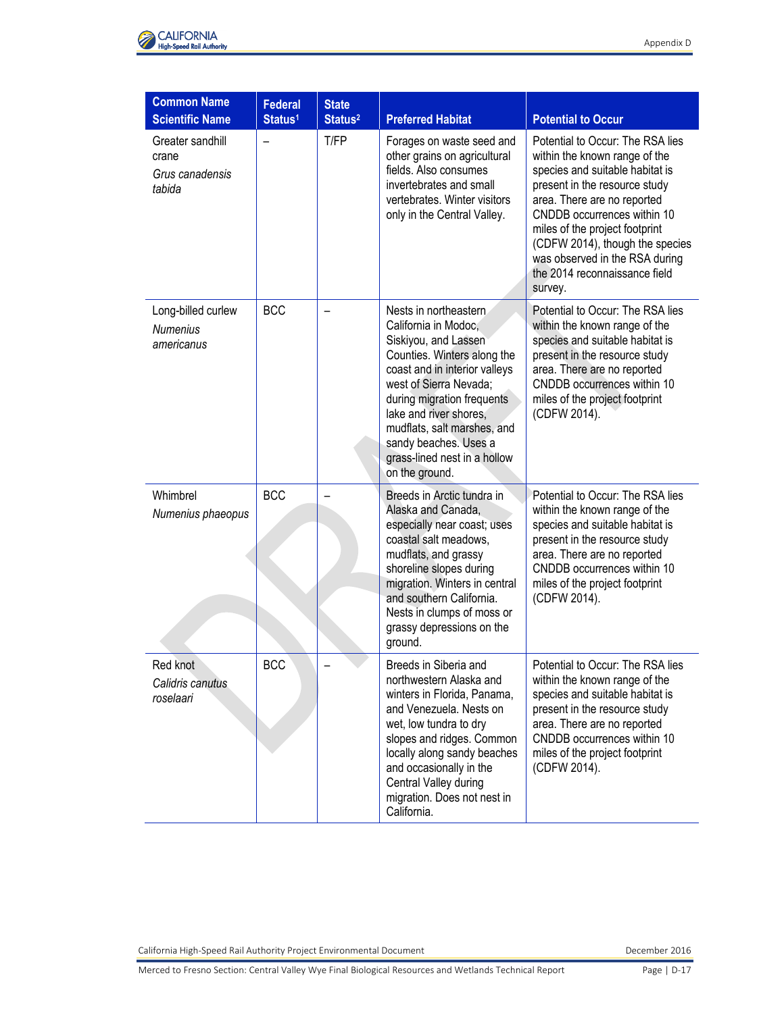

| <b>Common Name</b>                                     |                                       |                                     |                                                                                                                                                                                                                                                                                                                                    |                                                                                                                                                                                                                                                                                                                                                        |
|--------------------------------------------------------|---------------------------------------|-------------------------------------|------------------------------------------------------------------------------------------------------------------------------------------------------------------------------------------------------------------------------------------------------------------------------------------------------------------------------------|--------------------------------------------------------------------------------------------------------------------------------------------------------------------------------------------------------------------------------------------------------------------------------------------------------------------------------------------------------|
| <b>Scientific Name</b>                                 | <b>Federal</b><br>Status <sup>1</sup> | <b>State</b><br>Status <sup>2</sup> | <b>Preferred Habitat</b>                                                                                                                                                                                                                                                                                                           | <b>Potential to Occur</b>                                                                                                                                                                                                                                                                                                                              |
| Greater sandhill<br>crane<br>Grus canadensis<br>tabida |                                       | T/FP                                | Forages on waste seed and<br>other grains on agricultural<br>fields. Also consumes<br>invertebrates and small<br>vertebrates. Winter visitors<br>only in the Central Valley.                                                                                                                                                       | Potential to Occur: The RSA lies<br>within the known range of the<br>species and suitable habitat is<br>present in the resource study<br>area. There are no reported<br>CNDDB occurrences within 10<br>miles of the project footprint<br>(CDFW 2014), though the species<br>was observed in the RSA during<br>the 2014 reconnaissance field<br>survey. |
| Long-billed curlew<br><b>Numenius</b><br>americanus    | <b>BCC</b>                            |                                     | Nests in northeastern.<br>California in Modoc,<br>Siskiyou, and Lassen<br>Counties. Winters along the<br>coast and in interior valleys<br>west of Sierra Nevada;<br>during migration frequents<br>lake and river shores,<br>mudflats, salt marshes, and<br>sandy beaches. Uses a<br>grass-lined nest in a hollow<br>on the ground. | Potential to Occur: The RSA lies<br>within the known range of the<br>species and suitable habitat is<br>present in the resource study<br>area. There are no reported<br>CNDDB occurrences within 10<br>miles of the project footprint<br>(CDFW 2014).                                                                                                  |
| Whimbrel<br>Numenius phaeopus                          | <b>BCC</b>                            |                                     | Breeds in Arctic tundra in<br>Alaska and Canada,<br>especially near coast; uses<br>coastal salt meadows.<br>mudflats, and grassy<br>shoreline slopes during<br>migration. Winters in central<br>and southern California.<br>Nests in clumps of moss or<br>grassy depressions on the<br>ground.                                     | Potential to Occur: The RSA lies<br>within the known range of the<br>species and suitable habitat is<br>present in the resource study<br>area. There are no reported<br>CNDDB occurrences within 10<br>miles of the project footprint<br>(CDFW 2014).                                                                                                  |
| Red knot<br>Calidris canutus<br>roselaari              | <b>BCC</b>                            |                                     | Breeds in Siberia and<br>northwestern Alaska and<br>winters in Florida, Panama,<br>and Venezuela. Nests on<br>wet, low tundra to dry<br>slopes and ridges. Common<br>locally along sandy beaches<br>and occasionally in the<br>Central Valley during<br>migration. Does not nest in<br>California.                                 | Potential to Occur: The RSA lies<br>within the known range of the<br>species and suitable habitat is<br>present in the resource study<br>area. There are no reported<br>CNDDB occurrences within 10<br>miles of the project footprint<br>(CDFW 2014).                                                                                                  |

Merced to Fresno Section: Central Valley Wye Final Biological Resources and Wetlands Technical Report Page | D-17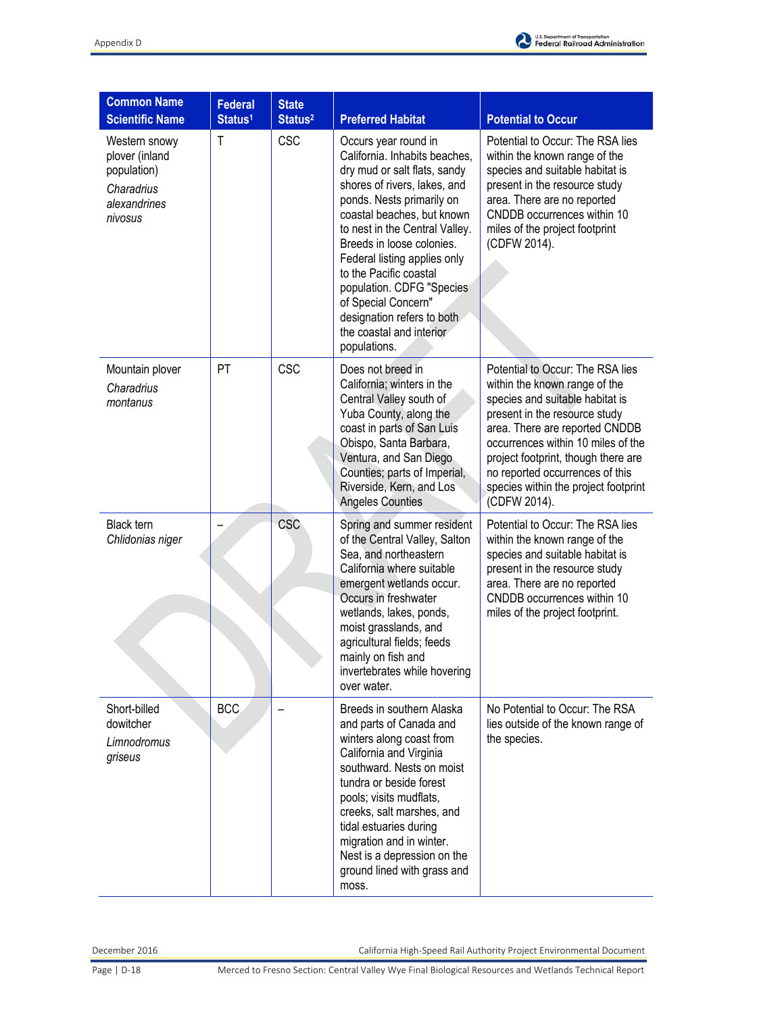

| <b>Common Name</b><br><b>Scientific Name</b>                                            | <b>Federal</b><br>Status <sup>1</sup> | <b>State</b><br>Status <sup>2</sup> | <b>Preferred Habitat</b>                                                                                                                                                                                                                                                                                                                                                                                                                 | <b>Potential to Occur</b>                                                                                                                                                                                                                                                                                                                       |
|-----------------------------------------------------------------------------------------|---------------------------------------|-------------------------------------|------------------------------------------------------------------------------------------------------------------------------------------------------------------------------------------------------------------------------------------------------------------------------------------------------------------------------------------------------------------------------------------------------------------------------------------|-------------------------------------------------------------------------------------------------------------------------------------------------------------------------------------------------------------------------------------------------------------------------------------------------------------------------------------------------|
| Western snowy<br>plover (inland<br>population)<br>Charadrius<br>alexandrines<br>nivosus | T                                     | <b>CSC</b>                          | Occurs year round in<br>California. Inhabits beaches,<br>dry mud or salt flats, sandy<br>shores of rivers, lakes, and<br>ponds. Nests primarily on<br>coastal beaches, but known<br>to nest in the Central Valley.<br>Breeds in loose colonies.<br>Federal listing applies only<br>to the Pacific coastal<br>population. CDFG "Species"<br>of Special Concern"<br>designation refers to both<br>the coastal and interior<br>populations. | Potential to Occur: The RSA lies<br>within the known range of the<br>species and suitable habitat is<br>present in the resource study<br>area. There are no reported<br>CNDDB occurrences within 10<br>miles of the project footprint<br>(CDFW 2014).                                                                                           |
| Mountain plover<br>Charadrius<br>montanus                                               | PT                                    | <b>CSC</b>                          | Does not breed in<br>California; winters in the<br>Central Valley south of<br>Yuba County, along the<br>coast in parts of San Luis<br>Obispo, Santa Barbara,<br>Ventura, and San Diego<br>Counties; parts of Imperial,<br>Riverside, Kern, and Los<br><b>Angeles Counties</b>                                                                                                                                                            | Potential to Occur: The RSA lies<br>within the known range of the<br>species and suitable habitat is<br>present in the resource study<br>area. There are reported CNDDB<br>occurrences within 10 miles of the<br>project footprint, though there are<br>no reported occurrences of this<br>species within the project footprint<br>(CDFW 2014). |
| <b>Black tern</b><br>Chlidonias niger                                                   |                                       | CSC                                 | Spring and summer resident<br>of the Central Valley, Salton<br>Sea, and northeastern<br>California where suitable<br>emergent wetlands occur.<br>Occurs in freshwater<br>wetlands, lakes, ponds,<br>moist grasslands, and<br>agricultural fields; feeds<br>mainly on fish and<br>invertebrates while hovering<br>over water.                                                                                                             | Potential to Occur: The RSA lies<br>within the known range of the<br>species and suitable habitat is<br>present in the resource study<br>area. There are no reported<br>CNDDB occurrences within 10<br>miles of the project footprint.                                                                                                          |
| Short-billed<br>dowitcher<br>Limnodromus<br>griseus                                     | BCC                                   |                                     | Breeds in southern Alaska<br>and parts of Canada and<br>winters along coast from<br>California and Virginia<br>southward. Nests on moist<br>tundra or beside forest<br>pools; visits mudflats,<br>creeks, salt marshes, and<br>tidal estuaries during<br>migration and in winter.<br>Nest is a depression on the<br>ground lined with grass and<br>moss.                                                                                 | No Potential to Occur: The RSA<br>lies outside of the known range of<br>the species.                                                                                                                                                                                                                                                            |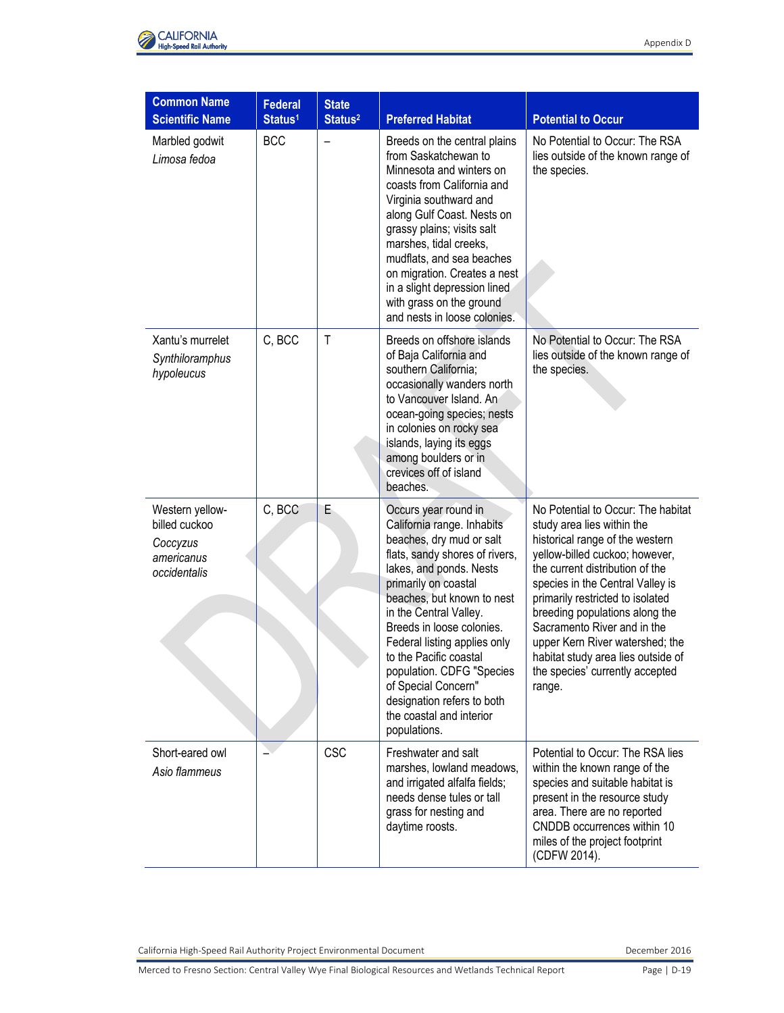

| <b>Common Name</b>                                                         | <b>Federal</b>      | <b>State</b>        |                                                                                                                                                                                                                                                                                                                                                                                                                                                  |                                                                                                                                                                                                                                                                                                                                                                                                                                         |
|----------------------------------------------------------------------------|---------------------|---------------------|--------------------------------------------------------------------------------------------------------------------------------------------------------------------------------------------------------------------------------------------------------------------------------------------------------------------------------------------------------------------------------------------------------------------------------------------------|-----------------------------------------------------------------------------------------------------------------------------------------------------------------------------------------------------------------------------------------------------------------------------------------------------------------------------------------------------------------------------------------------------------------------------------------|
| <b>Scientific Name</b>                                                     | Status <sup>1</sup> | Status <sup>2</sup> | <b>Preferred Habitat</b>                                                                                                                                                                                                                                                                                                                                                                                                                         | <b>Potential to Occur</b>                                                                                                                                                                                                                                                                                                                                                                                                               |
| Marbled godwit<br>Limosa fedoa                                             | <b>BCC</b>          |                     | Breeds on the central plains<br>from Saskatchewan to<br>Minnesota and winters on<br>coasts from California and<br>Virginia southward and<br>along Gulf Coast. Nests on<br>grassy plains; visits salt<br>marshes, tidal creeks,<br>mudflats, and sea beaches<br>on migration. Creates a nest<br>in a slight depression lined<br>with grass on the ground<br>and nests in loose colonies.                                                          | No Potential to Occur: The RSA<br>lies outside of the known range of<br>the species.                                                                                                                                                                                                                                                                                                                                                    |
| Xantu's murrelet<br>Synthiloramphus<br>hypoleucus                          | C, BCC              | $\mathsf{T}$        | Breeds on offshore islands<br>of Baja California and<br>southern California;<br>occasionally wanders north<br>to Vancouver Island. An<br>ocean-going species; nests<br>in colonies on rocky sea<br>islands, laying its eggs<br>among boulders or in<br>crevices off of island<br>beaches.                                                                                                                                                        | No Potential to Occur: The RSA<br>lies outside of the known range of<br>the species.                                                                                                                                                                                                                                                                                                                                                    |
| Western yellow-<br>billed cuckoo<br>Coccyzus<br>americanus<br>occidentalis | C, BCC              | Е                   | Occurs year round in<br>California range. Inhabits<br>beaches, dry mud or salt<br>flats, sandy shores of rivers,<br>lakes, and ponds. Nests<br>primarily on coastal<br>beaches, but known to nest<br>in the Central Valley.<br>Breeds in loose colonies.<br>Federal listing applies only<br>to the Pacific coastal<br>population. CDFG "Species<br>of Special Concern"<br>designation refers to both<br>the coastal and interior<br>populations. | No Potential to Occur: The habitat<br>study area lies within the<br>historical range of the western<br>yellow-billed cuckoo; however,<br>the current distribution of the<br>species in the Central Valley is<br>primarily restricted to isolated<br>breeding populations along the<br>Sacramento River and in the<br>upper Kern River watershed; the<br>habitat study area lies outside of<br>the species' currently accepted<br>range. |
| Short-eared owl<br>Asio flammeus                                           |                     | <b>CSC</b>          | Freshwater and salt<br>marshes, lowland meadows,<br>and irrigated alfalfa fields;<br>needs dense tules or tall<br>grass for nesting and<br>daytime roosts.                                                                                                                                                                                                                                                                                       | Potential to Occur: The RSA lies<br>within the known range of the<br>species and suitable habitat is<br>present in the resource study<br>area. There are no reported<br>CNDDB occurrences within 10<br>miles of the project footprint<br>(CDFW 2014).                                                                                                                                                                                   |

Merced to Fresno Section: Central Valley Wye Final Biological Resources and Wetlands Technical Report Page | D-19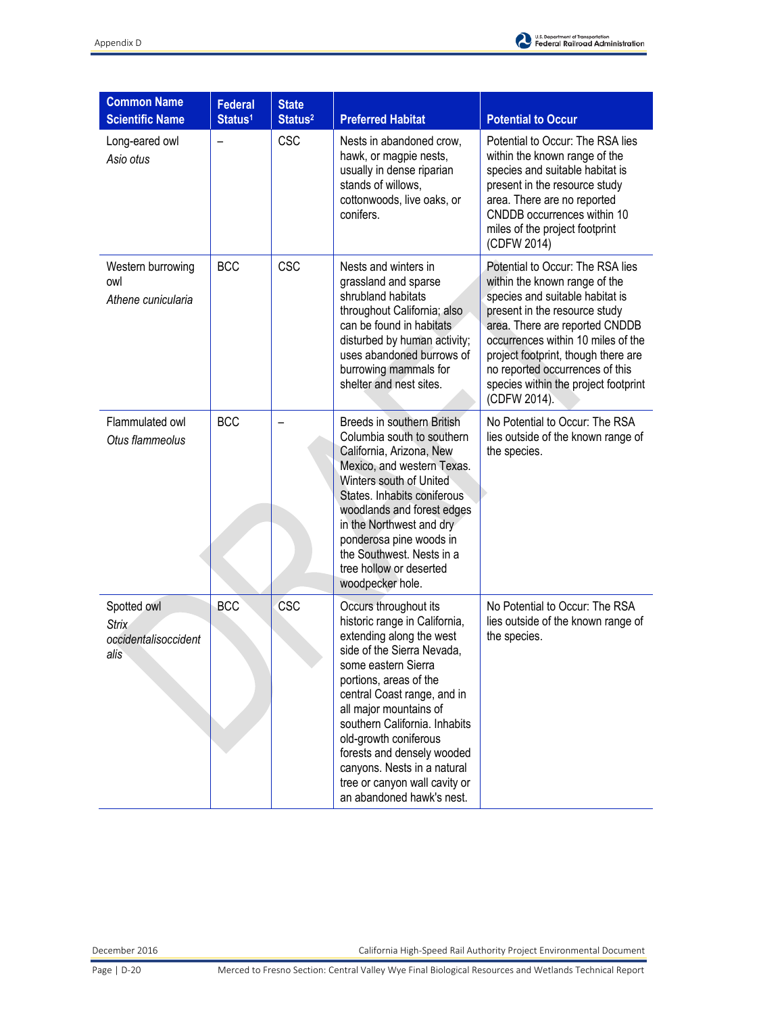

| <b>Common Name</b><br><b>Scientific Name</b>                | <b>Federal</b><br>Status <sup>1</sup> | <b>State</b><br>Status <sup>2</sup> | <b>Preferred Habitat</b>                                                                                                                                                                                                                                                                                                                                                                                        | <b>Potential to Occur</b>                                                                                                                                                                                                                                                                                                                       |
|-------------------------------------------------------------|---------------------------------------|-------------------------------------|-----------------------------------------------------------------------------------------------------------------------------------------------------------------------------------------------------------------------------------------------------------------------------------------------------------------------------------------------------------------------------------------------------------------|-------------------------------------------------------------------------------------------------------------------------------------------------------------------------------------------------------------------------------------------------------------------------------------------------------------------------------------------------|
| Long-eared owl<br>Asio otus                                 | $\overline{\phantom{0}}$              | <b>CSC</b>                          | Nests in abandoned crow,<br>hawk, or magpie nests,<br>usually in dense riparian<br>stands of willows,<br>cottonwoods, live oaks, or<br>conifers.                                                                                                                                                                                                                                                                | Potential to Occur: The RSA lies<br>within the known range of the<br>species and suitable habitat is<br>present in the resource study<br>area. There are no reported<br>CNDDB occurrences within 10<br>miles of the project footprint<br>(CDFW 2014)                                                                                            |
| Western burrowing<br>owl<br>Athene cunicularia              | <b>BCC</b>                            | <b>CSC</b>                          | Nests and winters in<br>grassland and sparse<br>shrubland habitats<br>throughout California; also<br>can be found in habitats<br>disturbed by human activity;<br>uses abandoned burrows of<br>burrowing mammals for<br>shelter and nest sites.                                                                                                                                                                  | Potential to Occur: The RSA lies<br>within the known range of the<br>species and suitable habitat is<br>present in the resource study<br>area. There are reported CNDDB<br>occurrences within 10 miles of the<br>project footprint, though there are<br>no reported occurrences of this<br>species within the project footprint<br>(CDFW 2014). |
| Flammulated owl<br>Otus flammeolus                          | <b>BCC</b>                            |                                     | Breeds in southern British<br>Columbia south to southern<br>California, Arizona, New<br>Mexico, and western Texas.<br>Winters south of United<br>States. Inhabits coniferous<br>woodlands and forest edges<br>in the Northwest and dry<br>ponderosa pine woods in<br>the Southwest. Nests in a<br>tree hollow or deserted<br>woodpecker hole.                                                                   | No Potential to Occur: The RSA<br>lies outside of the known range of<br>the species.                                                                                                                                                                                                                                                            |
| Spotted owl<br><b>Strix</b><br>occidentalisoccident<br>alis | <b>BCC</b>                            | <b>CSC</b>                          | Occurs throughout its<br>historic range in California,<br>extending along the west<br>side of the Sierra Nevada,<br>some eastern Sierra<br>portions, areas of the<br>central Coast range, and in<br>all major mountains of<br>southern California. Inhabits<br>old-growth coniferous<br>forests and densely wooded<br>canyons. Nests in a natural<br>tree or canyon wall cavity or<br>an abandoned hawk's nest. | No Potential to Occur: The RSA<br>lies outside of the known range of<br>the species.                                                                                                                                                                                                                                                            |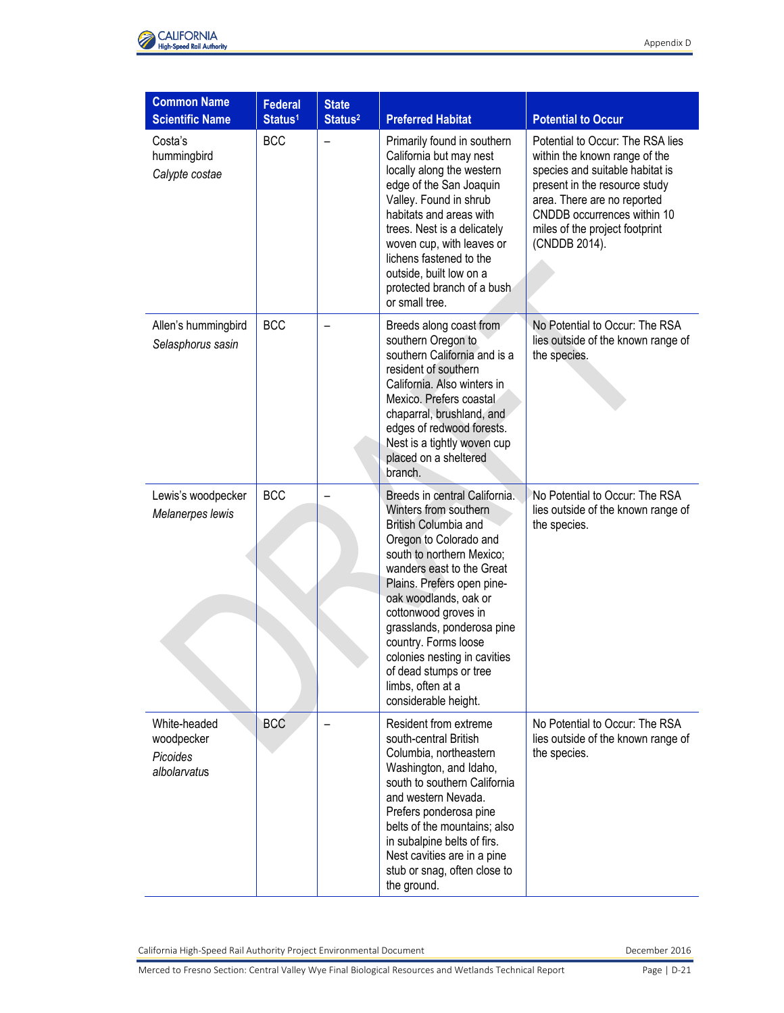

| <b>Common Name</b>                                     | <b>Federal</b>      | <b>State</b>        |                                                                                                                                                                                                                                                                                                                                                                                                                |                                                                                                                                                                                                                                                        |
|--------------------------------------------------------|---------------------|---------------------|----------------------------------------------------------------------------------------------------------------------------------------------------------------------------------------------------------------------------------------------------------------------------------------------------------------------------------------------------------------------------------------------------------------|--------------------------------------------------------------------------------------------------------------------------------------------------------------------------------------------------------------------------------------------------------|
| <b>Scientific Name</b>                                 | Status <sup>1</sup> | Status <sup>2</sup> | <b>Preferred Habitat</b>                                                                                                                                                                                                                                                                                                                                                                                       | <b>Potential to Occur</b>                                                                                                                                                                                                                              |
| Costa's<br>hummingbird<br>Calypte costae               | <b>BCC</b>          |                     | Primarily found in southern<br>California but may nest<br>locally along the western<br>edge of the San Joaquin<br>Valley. Found in shrub<br>habitats and areas with<br>trees. Nest is a delicately<br>woven cup, with leaves or<br>lichens fastened to the<br>outside, built low on a<br>protected branch of a bush<br>or small tree.                                                                          | Potential to Occur: The RSA lies<br>within the known range of the<br>species and suitable habitat is<br>present in the resource study<br>area. There are no reported<br>CNDDB occurrences within 10<br>miles of the project footprint<br>(CNDDB 2014). |
| Allen's hummingbird<br>Selasphorus sasin               | <b>BCC</b>          |                     | Breeds along coast from<br>southern Oregon to<br>southern California and is a<br>resident of southern<br>California. Also winters in<br>Mexico. Prefers coastal<br>chaparral, brushland, and<br>edges of redwood forests.<br>Nest is a tightly woven cup<br>placed on a sheltered<br>branch.                                                                                                                   | No Potential to Occur: The RSA<br>lies outside of the known range of<br>the species.                                                                                                                                                                   |
| Lewis's woodpecker<br>Melanerpes lewis                 | <b>BCC</b>          |                     | Breeds in central California.<br>Winters from southern<br>British Columbia and<br>Oregon to Colorado and<br>south to northern Mexico;<br>wanders east to the Great<br>Plains. Prefers open pine-<br>oak woodlands, oak or<br>cottonwood groves in<br>grasslands, ponderosa pine<br>country. Forms loose<br>colonies nesting in cavities<br>of dead stumps or tree<br>limbs, often at a<br>considerable height. | No Potential to Occur: The RSA<br>lies outside of the known range of<br>the species.                                                                                                                                                                   |
| White-headed<br>woodpecker<br>Picoides<br>albolarvatus | <b>BCC</b>          |                     | Resident from extreme<br>south-central British<br>Columbia, northeastern<br>Washington, and Idaho,<br>south to southern California<br>and western Nevada.<br>Prefers ponderosa pine<br>belts of the mountains; also<br>in subalpine belts of firs.<br>Nest cavities are in a pine<br>stub or snag, often close to<br>the ground.                                                                               | No Potential to Occur: The RSA<br>lies outside of the known range of<br>the species.                                                                                                                                                                   |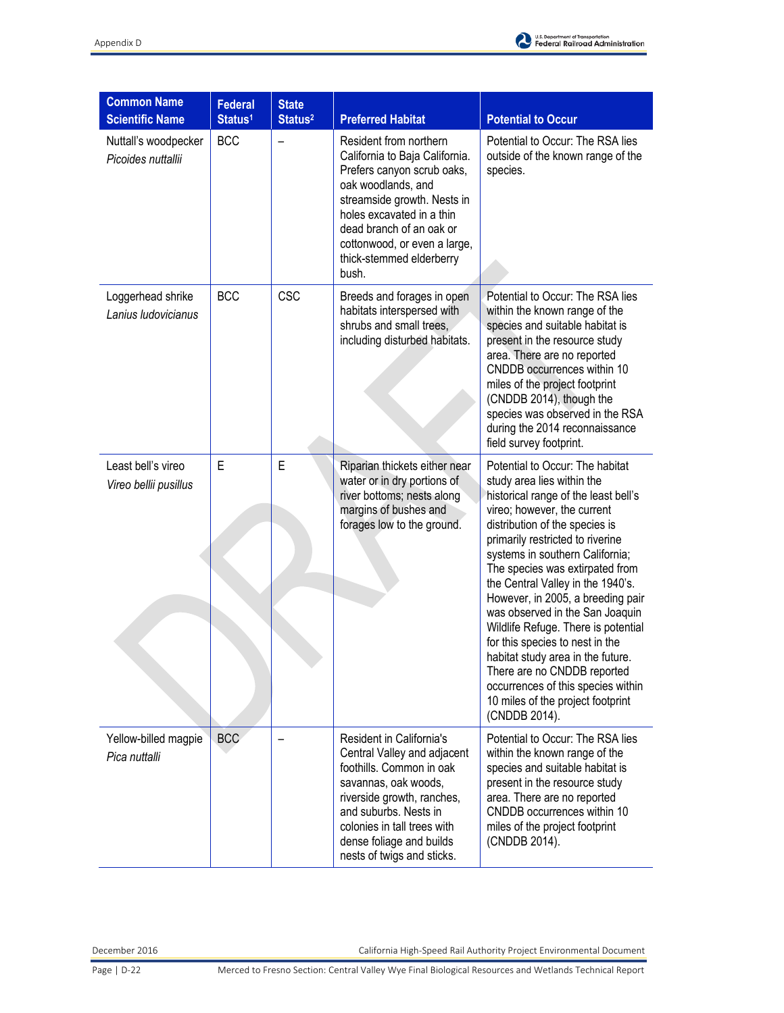

| <b>Common Name</b><br><b>Scientific Name</b> | <b>Federal</b><br>Status <sup>1</sup> | <b>State</b><br>Status <sup>2</sup> | <b>Preferred Habitat</b>                                                                                                                                                                                                                                                  | <b>Potential to Occur</b>                                                                                                                                                                                                                                                                                                                                                                                                                                                                                                                                                                                                               |
|----------------------------------------------|---------------------------------------|-------------------------------------|---------------------------------------------------------------------------------------------------------------------------------------------------------------------------------------------------------------------------------------------------------------------------|-----------------------------------------------------------------------------------------------------------------------------------------------------------------------------------------------------------------------------------------------------------------------------------------------------------------------------------------------------------------------------------------------------------------------------------------------------------------------------------------------------------------------------------------------------------------------------------------------------------------------------------------|
| Nuttall's woodpecker<br>Picoides nuttallii   | <b>BCC</b>                            |                                     | Resident from northern<br>California to Baja California.<br>Prefers canyon scrub oaks,<br>oak woodlands, and<br>streamside growth. Nests in<br>holes excavated in a thin<br>dead branch of an oak or<br>cottonwood, or even a large,<br>thick-stemmed elderberry<br>bush. | Potential to Occur: The RSA lies<br>outside of the known range of the<br>species.                                                                                                                                                                                                                                                                                                                                                                                                                                                                                                                                                       |
| Loggerhead shrike<br>Lanius Iudovicianus     | <b>BCC</b>                            | <b>CSC</b>                          | Breeds and forages in open<br>habitats interspersed with<br>shrubs and small trees,<br>including disturbed habitats.                                                                                                                                                      | Potential to Occur: The RSA lies<br>within the known range of the<br>species and suitable habitat is<br>present in the resource study<br>area. There are no reported<br>CNDDB occurrences within 10<br>miles of the project footprint<br>(CNDDB 2014), though the<br>species was observed in the RSA<br>during the 2014 reconnaissance<br>field survey footprint.                                                                                                                                                                                                                                                                       |
| Least bell's vireo<br>Vireo bellii pusillus  | E                                     | E                                   | Riparian thickets either near<br>water or in dry portions of<br>river bottoms; nests along<br>margins of bushes and<br>forages low to the ground.                                                                                                                         | Potential to Occur: The habitat<br>study area lies within the<br>historical range of the least bell's<br>vireo; however, the current<br>distribution of the species is<br>primarily restricted to riverine<br>systems in southern California;<br>The species was extirpated from<br>the Central Valley in the 1940's.<br>However, in 2005, a breeding pair<br>was observed in the San Joaquin<br>Wildlife Refuge. There is potential<br>for this species to nest in the<br>habitat study area in the future.<br>There are no CNDDB reported<br>occurrences of this species within<br>10 miles of the project footprint<br>(CNDDB 2014). |
| Yellow-billed magpie<br>Pica nuttalli        | <b>BCC</b>                            |                                     | Resident in California's<br>Central Valley and adjacent<br>foothills. Common in oak<br>savannas, oak woods,<br>riverside growth, ranches,<br>and suburbs. Nests in<br>colonies in tall trees with<br>dense foliage and builds<br>nests of twigs and sticks.               | Potential to Occur: The RSA lies<br>within the known range of the<br>species and suitable habitat is<br>present in the resource study<br>area. There are no reported<br>CNDDB occurrences within 10<br>miles of the project footprint<br>(CNDDB 2014).                                                                                                                                                                                                                                                                                                                                                                                  |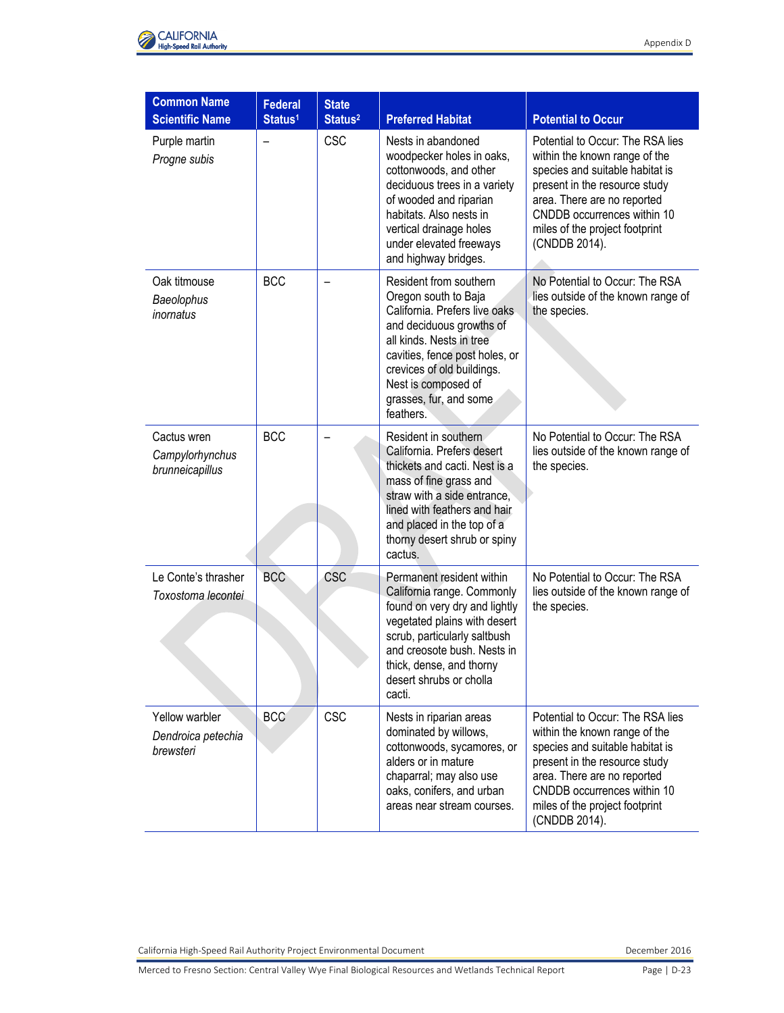

| <b>Common Name</b>                                |                                       |                                     |                                                                                                                                                                                                                                                                       |                                                                                                                                                                                                                                                        |
|---------------------------------------------------|---------------------------------------|-------------------------------------|-----------------------------------------------------------------------------------------------------------------------------------------------------------------------------------------------------------------------------------------------------------------------|--------------------------------------------------------------------------------------------------------------------------------------------------------------------------------------------------------------------------------------------------------|
| <b>Scientific Name</b>                            | <b>Federal</b><br>Status <sup>1</sup> | <b>State</b><br>Status <sup>2</sup> | <b>Preferred Habitat</b>                                                                                                                                                                                                                                              | <b>Potential to Occur</b>                                                                                                                                                                                                                              |
| Purple martin<br>Progne subis                     |                                       | <b>CSC</b>                          | Nests in abandoned<br>woodpecker holes in oaks,<br>cottonwoods, and other<br>deciduous trees in a variety<br>of wooded and riparian<br>habitats. Also nests in<br>vertical drainage holes<br>under elevated freeways<br>and highway bridges.                          | Potential to Occur: The RSA lies<br>within the known range of the<br>species and suitable habitat is<br>present in the resource study<br>area. There are no reported<br>CNDDB occurrences within 10<br>miles of the project footprint<br>(CNDDB 2014). |
| Oak titmouse<br>Baeolophus<br>inornatus           | <b>BCC</b>                            |                                     | Resident from southern<br>Oregon south to Baja<br>California. Prefers live oaks<br>and deciduous growths of<br>all kinds. Nests in tree<br>cavities, fence post holes, or<br>crevices of old buildings.<br>Nest is composed of<br>grasses, fur, and some<br>feathers. | No Potential to Occur: The RSA<br>lies outside of the known range of<br>the species.                                                                                                                                                                   |
| Cactus wren<br>Campylorhynchus<br>brunneicapillus | <b>BCC</b>                            |                                     | Resident in southern<br>California. Prefers desert<br>thickets and cacti. Nest is a<br>mass of fine grass and<br>straw with a side entrance,<br>lined with feathers and hair<br>and placed in the top of a<br>thorny desert shrub or spiny<br>cactus.                 | No Potential to Occur: The RSA<br>lies outside of the known range of<br>the species.                                                                                                                                                                   |
| Le Conte's thrasher<br>Toxostoma lecontei         | <b>BCC</b>                            | CSC                                 | Permanent resident within<br>California range. Commonly<br>found on very dry and lightly<br>vegetated plains with desert<br>scrub, particularly saltbush<br>and creosote bush. Nests in<br>thick, dense, and thorny<br>desert shrubs or cholla<br>cacti.              | No Potential to Occur: The RSA<br>lies outside of the known range of<br>the species.                                                                                                                                                                   |
| Yellow warbler<br>Dendroica petechia<br>brewsteri | <b>BCC</b>                            | <b>CSC</b>                          | Nests in riparian areas<br>dominated by willows,<br>cottonwoods, sycamores, or<br>alders or in mature<br>chaparral; may also use<br>oaks, conifers, and urban<br>areas near stream courses.                                                                           | Potential to Occur: The RSA lies<br>within the known range of the<br>species and suitable habitat is<br>present in the resource study<br>area. There are no reported<br>CNDDB occurrences within 10<br>miles of the project footprint<br>(CNDDB 2014). |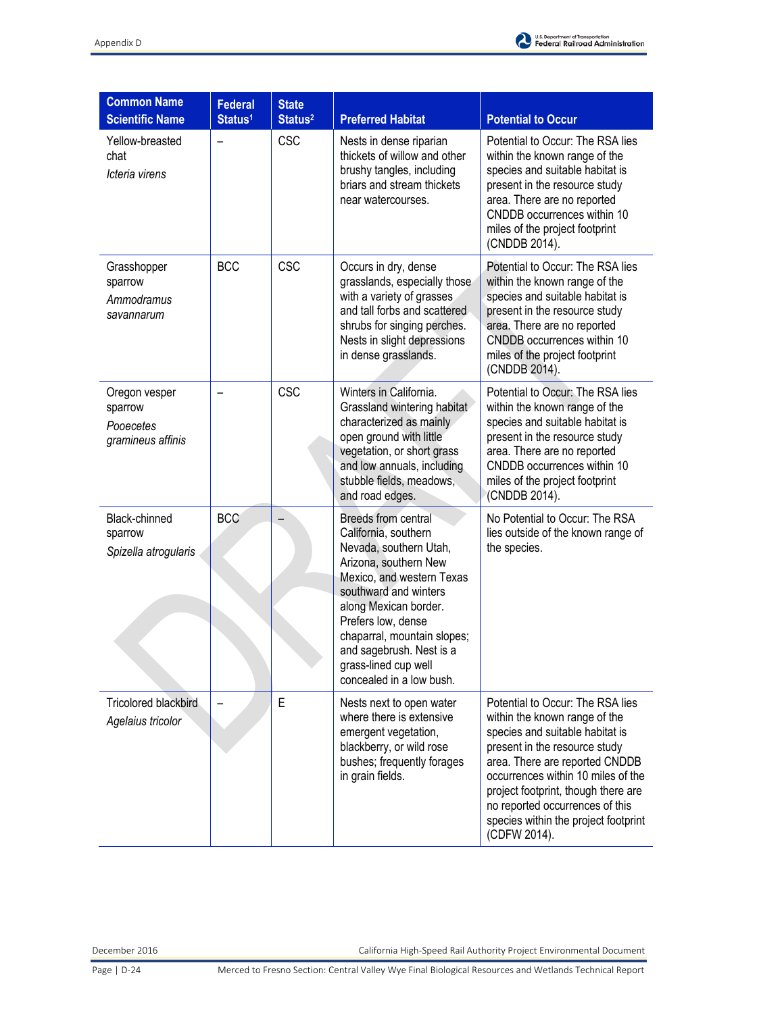

| <b>Common Name</b>                                                  | <b>Federal</b>      | <b>State</b>                      |                                                                                                                                                                                                                                                                                                                    |                                                                                                                                                                                                                                                                                                                                                 |
|---------------------------------------------------------------------|---------------------|-----------------------------------|--------------------------------------------------------------------------------------------------------------------------------------------------------------------------------------------------------------------------------------------------------------------------------------------------------------------|-------------------------------------------------------------------------------------------------------------------------------------------------------------------------------------------------------------------------------------------------------------------------------------------------------------------------------------------------|
| <b>Scientific Name</b><br>Yellow-breasted<br>chat<br>Icteria virens | Status <sup>1</sup> | Status <sup>2</sup><br><b>CSC</b> | <b>Preferred Habitat</b><br>Nests in dense riparian<br>thickets of willow and other<br>brushy tangles, including<br>briars and stream thickets<br>near watercourses.                                                                                                                                               | <b>Potential to Occur</b><br>Potential to Occur: The RSA lies<br>within the known range of the<br>species and suitable habitat is<br>present in the resource study<br>area. There are no reported<br>CNDDB occurrences within 10<br>miles of the project footprint                                                                              |
| Grasshopper<br>sparrow<br>Ammodramus<br>savannarum                  | <b>BCC</b>          | <b>CSC</b>                        | Occurs in dry, dense<br>grasslands, especially those<br>with a variety of grasses<br>and tall forbs and scattered<br>shrubs for singing perches.<br>Nests in slight depressions<br>in dense grasslands.                                                                                                            | (CNDDB 2014).<br>Potential to Occur: The RSA lies<br>within the known range of the<br>species and suitable habitat is<br>present in the resource study<br>area. There are no reported<br>CNDDB occurrences within 10<br>miles of the project footprint<br>(CNDDB 2014).                                                                         |
| Oregon vesper<br>sparrow<br>Pooecetes<br>gramineus affinis          |                     | <b>CSC</b>                        | Winters in California.<br>Grassland wintering habitat<br>characterized as mainly<br>open ground with little<br>vegetation, or short grass<br>and low annuals, including<br>stubble fields, meadows,<br>and road edges.                                                                                             | Potential to Occur: The RSA lies<br>within the known range of the<br>species and suitable habitat is<br>present in the resource study<br>area. There are no reported<br>CNDDB occurrences within 10<br>miles of the project footprint<br>(CNDDB 2014).                                                                                          |
| Black-chinned<br>sparrow<br>Spizella atrogularis                    | <b>BCC</b>          |                                   | Breeds from central<br>California, southern<br>Nevada, southern Utah,<br>Arizona, southern New<br>Mexico, and western Texas<br>southward and winters<br>along Mexican border.<br>Prefers low, dense<br>chaparral, mountain slopes;<br>and sagebrush. Nest is a<br>grass-lined cup well<br>concealed in a low bush. | No Potential to Occur: The RSA<br>lies outside of the known range of<br>the species.                                                                                                                                                                                                                                                            |
| <b>Tricolored blackbird</b><br>Agelaius tricolor                    |                     | E                                 | Nests next to open water<br>where there is extensive<br>emergent vegetation,<br>blackberry, or wild rose<br>bushes; frequently forages<br>in grain fields.                                                                                                                                                         | Potential to Occur: The RSA lies<br>within the known range of the<br>species and suitable habitat is<br>present in the resource study<br>area. There are reported CNDDB<br>occurrences within 10 miles of the<br>project footprint, though there are<br>no reported occurrences of this<br>species within the project footprint<br>(CDFW 2014). |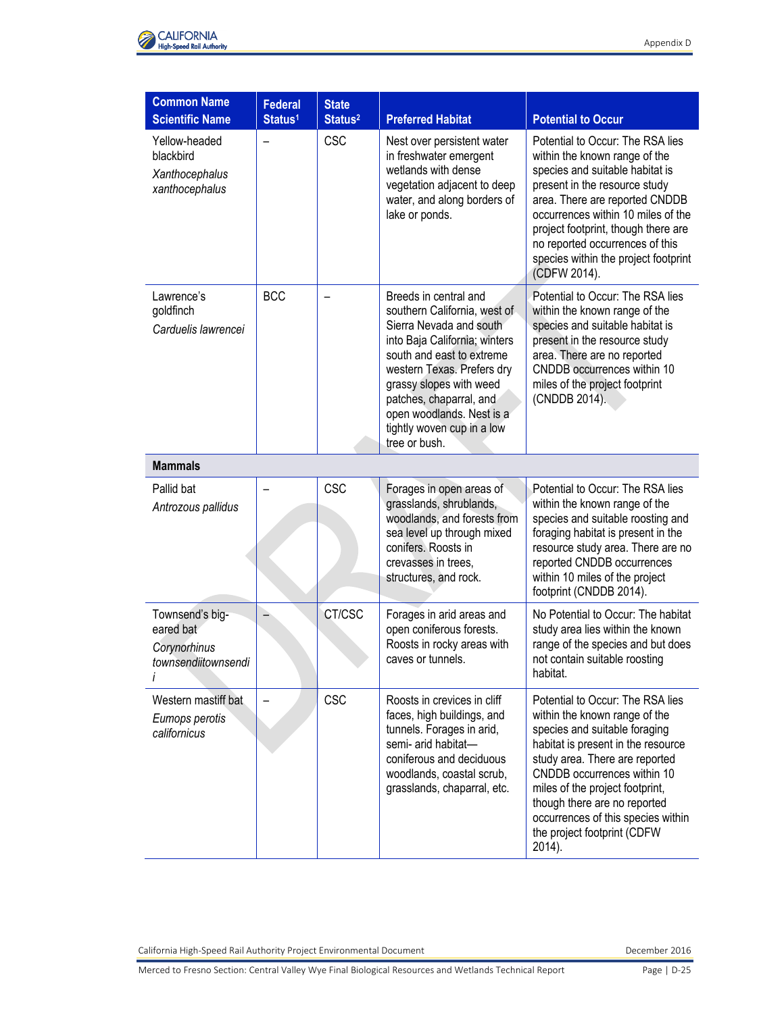

| <b>Common Name</b><br><b>Scientific Name</b>                        | <b>Federal</b>      | <b>State</b>               | <b>Preferred Habitat</b>                                                                                                                                                                                                                                                                                       | <b>Potential to Occur</b>                                                                                                                                                                                                                                                                                                                                   |
|---------------------------------------------------------------------|---------------------|----------------------------|----------------------------------------------------------------------------------------------------------------------------------------------------------------------------------------------------------------------------------------------------------------------------------------------------------------|-------------------------------------------------------------------------------------------------------------------------------------------------------------------------------------------------------------------------------------------------------------------------------------------------------------------------------------------------------------|
| Yellow-headed<br>blackbird<br>Xanthocephalus<br>xanthocephalus      | Status <sup>1</sup> | Status <sup>2</sup><br>CSC | Nest over persistent water<br>in freshwater emergent<br>wetlands with dense<br>vegetation adjacent to deep<br>water, and along borders of<br>lake or ponds.                                                                                                                                                    | Potential to Occur: The RSA lies<br>within the known range of the<br>species and suitable habitat is<br>present in the resource study<br>area. There are reported CNDDB<br>occurrences within 10 miles of the<br>project footprint, though there are<br>no reported occurrences of this<br>species within the project footprint<br>(CDFW 2014).             |
| Lawrence's<br>goldfinch<br>Carduelis lawrencei                      | <b>BCC</b>          |                            | Breeds in central and<br>southern California, west of<br>Sierra Nevada and south<br>into Baja California; winters<br>south and east to extreme<br>western Texas. Prefers dry<br>grassy slopes with weed<br>patches, chaparral, and<br>open woodlands. Nest is a<br>tightly woven cup in a low<br>tree or bush. | Potential to Occur: The RSA lies<br>within the known range of the<br>species and suitable habitat is<br>present in the resource study<br>area. There are no reported<br>CNDDB occurrences within 10<br>miles of the project footprint<br>(CNDDB 2014).                                                                                                      |
| <b>Mammals</b>                                                      |                     |                            |                                                                                                                                                                                                                                                                                                                |                                                                                                                                                                                                                                                                                                                                                             |
| Pallid bat<br>Antrozous pallidus                                    |                     | <b>CSC</b>                 | Forages in open areas of<br>grasslands, shrublands,<br>woodlands, and forests from<br>sea level up through mixed<br>conifers. Roosts in<br>crevasses in trees,<br>structures, and rock.                                                                                                                        | Potential to Occur: The RSA lies<br>within the known range of the<br>species and suitable roosting and<br>foraging habitat is present in the<br>resource study area. There are no<br>reported CNDDB occurrences<br>within 10 miles of the project<br>footprint (CNDDB 2014).                                                                                |
| Townsend's big-<br>eared bat<br>Corynorhinus<br>townsendiitownsendi |                     | CT/CSC                     | Forages in arid areas and<br>open coniferous forests.<br>Roosts in rocky areas with<br>caves or tunnels.                                                                                                                                                                                                       | No Potential to Occur: The habitat<br>study area lies within the known<br>range of the species and but does<br>not contain suitable roosting<br>habitat.                                                                                                                                                                                                    |
| Western mastiff bat<br>Eumops perotis<br>californicus               |                     | <b>CSC</b>                 | Roosts in crevices in cliff<br>faces, high buildings, and<br>tunnels. Forages in arid,<br>semi- arid habitat-<br>coniferous and deciduous<br>woodlands, coastal scrub,<br>grasslands, chaparral, etc.                                                                                                          | Potential to Occur: The RSA lies<br>within the known range of the<br>species and suitable foraging<br>habitat is present in the resource<br>study area. There are reported<br>CNDDB occurrences within 10<br>miles of the project footprint,<br>though there are no reported<br>occurrences of this species within<br>the project footprint (CDFW<br>2014). |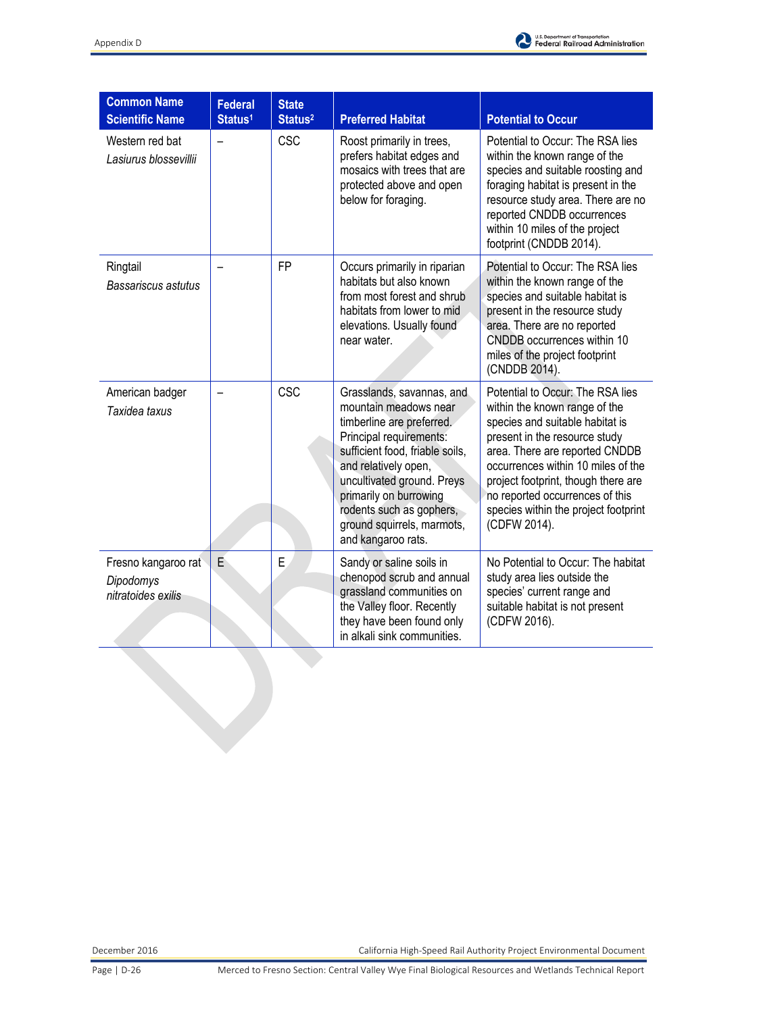

| <b>Common Name</b><br><b>Scientific Name</b>           | <b>Federal</b><br>Status <sup>1</sup> | <b>State</b><br>Status <sup>2</sup> | <b>Preferred Habitat</b>                                                                                                                                                                                                                                                                                      | <b>Potential to Occur</b>                                                                                                                                                                                                                                                                                                                       |
|--------------------------------------------------------|---------------------------------------|-------------------------------------|---------------------------------------------------------------------------------------------------------------------------------------------------------------------------------------------------------------------------------------------------------------------------------------------------------------|-------------------------------------------------------------------------------------------------------------------------------------------------------------------------------------------------------------------------------------------------------------------------------------------------------------------------------------------------|
| Western red bat<br>Lasiurus blossevillii               | -                                     | CSC                                 | Roost primarily in trees,<br>prefers habitat edges and<br>mosaics with trees that are<br>protected above and open<br>below for foraging.                                                                                                                                                                      | Potential to Occur: The RSA lies<br>within the known range of the<br>species and suitable roosting and<br>foraging habitat is present in the<br>resource study area. There are no<br>reported CNDDB occurrences<br>within 10 miles of the project<br>footprint (CNDDB 2014).                                                                    |
| Ringtail<br>Bassariscus astutus                        |                                       | <b>FP</b>                           | Occurs primarily in riparian<br>habitats but also known<br>from most forest and shrub<br>habitats from lower to mid<br>elevations. Usually found<br>near water.                                                                                                                                               | Potential to Occur: The RSA lies<br>within the known range of the<br>species and suitable habitat is<br>present in the resource study<br>area. There are no reported<br>CNDDB occurrences within 10<br>miles of the project footprint<br>(CNDDB 2014).                                                                                          |
| American badger<br>Taxidea taxus                       |                                       | CSC                                 | Grasslands, savannas, and<br>mountain meadows near<br>timberline are preferred.<br>Principal requirements:<br>sufficient food, friable soils,<br>and relatively open,<br>uncultivated ground. Preys<br>primarily on burrowing<br>rodents such as gophers,<br>ground squirrels, marmots,<br>and kangaroo rats. | Potential to Occur: The RSA lies<br>within the known range of the<br>species and suitable habitat is<br>present in the resource study<br>area. There are reported CNDDB<br>occurrences within 10 miles of the<br>project footprint, though there are<br>no reported occurrences of this<br>species within the project footprint<br>(CDFW 2014). |
| Fresno kangaroo rat<br>Dipodomys<br>nitratoides exilis | E                                     | E                                   | Sandy or saline soils in<br>chenopod scrub and annual<br>grassland communities on<br>the Valley floor. Recently<br>they have been found only<br>in alkali sink communities.                                                                                                                                   | No Potential to Occur: The habitat<br>study area lies outside the<br>species' current range and<br>suitable habitat is not present<br>(CDFW 2016).                                                                                                                                                                                              |